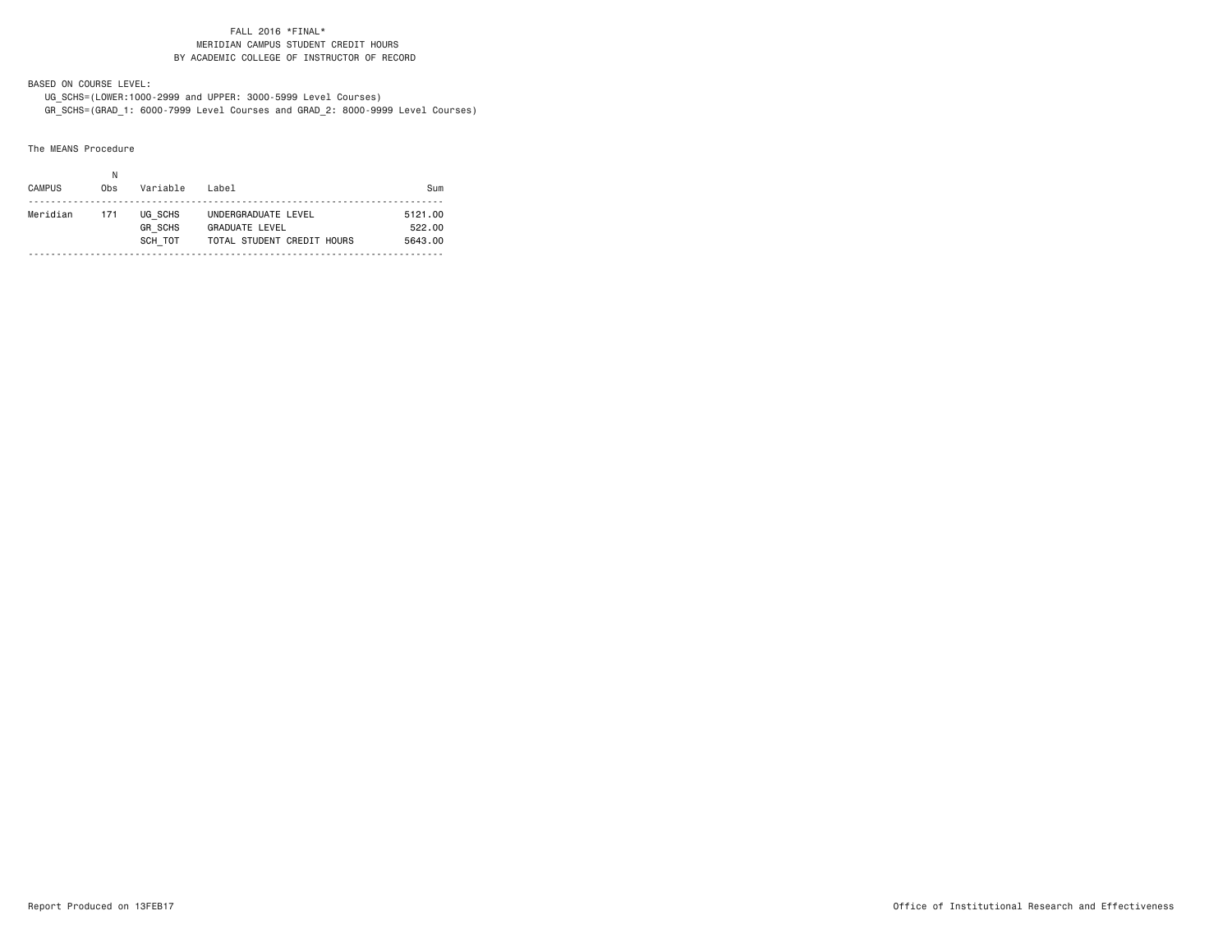## FALL 2016 \*FINAL\* MERIDIAN CAMPUS STUDENT CREDIT HOURSBY ACADEMIC COLLEGE OF INSTRUCTOR OF RECORD

BASED ON COURSE LEVEL:

 UG\_SCHS=(LOWER:1000-2999 and UPPER: 3000-5999 Level Courses) GR\_SCHS=(GRAD\_1: 6000-7999 Level Courses and GRAD\_2: 8000-9999 Level Courses)

The MEANS Procedure

| <b>CAMPUS</b><br>Variable<br>Label<br>0bs<br>Sum<br>Meridian<br>UG SCHS<br>UNDERGRADUATE LEVEL<br>5121.00<br>171<br><b>GR SCHS</b><br>522.00<br><b>GRADUATE LEVEL</b><br>SCH TOT<br>TOTAL STUDENT CREDIT HOURS<br>5643.00 |  |  |  |
|---------------------------------------------------------------------------------------------------------------------------------------------------------------------------------------------------------------------------|--|--|--|
|                                                                                                                                                                                                                           |  |  |  |
|                                                                                                                                                                                                                           |  |  |  |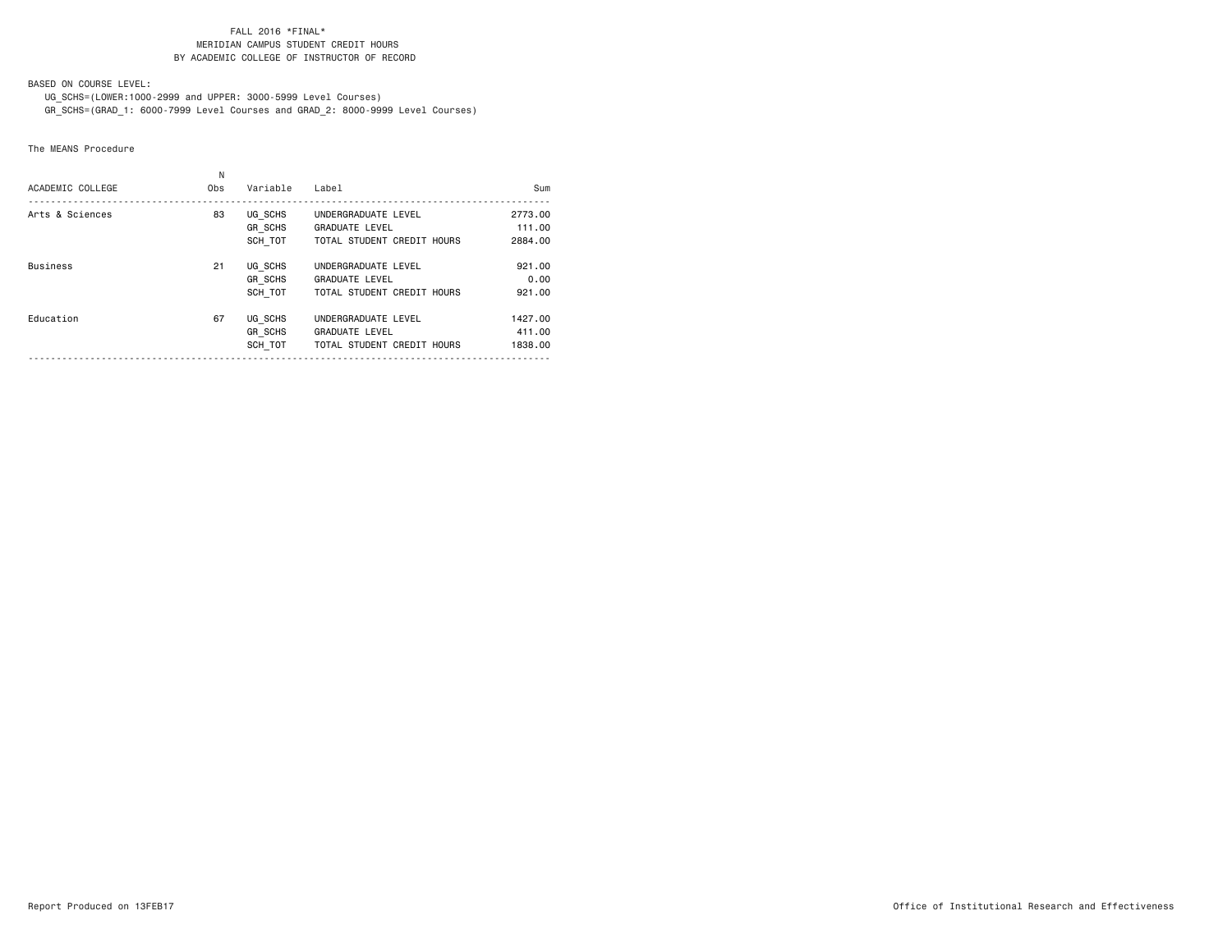## FALL 2016 \*FINAL\* MERIDIAN CAMPUS STUDENT CREDIT HOURSBY ACADEMIC COLLEGE OF INSTRUCTOR OF RECORD

BASED ON COURSE LEVEL:

UG\_SCHS=(LOWER:1000-2999 and UPPER: 3000-5999 Level Courses)

GR\_SCHS=(GRAD\_1: 6000-7999 Level Courses and GRAD\_2: 8000-9999 Level Courses)

The MEANS Procedure

|                  | N   |                |                            |         |
|------------------|-----|----------------|----------------------------|---------|
| ACADEMIC COLLEGE | 0bs | Variable       | Label                      | Sum     |
| Arts & Sciences  | 83  | UG SCHS        | UNDERGRADUATE LEVEL        | 2773.00 |
|                  |     | <b>GR SCHS</b> | <b>GRADUATE LEVEL</b>      | 111.00  |
|                  |     | SCH TOT        | TOTAL STUDENT CREDIT HOURS | 2884.00 |
| <b>Business</b>  | 21  | UG SCHS        | UNDERGRADUATE LEVEL        | 921.00  |
|                  |     | <b>GR SCHS</b> | <b>GRADUATE LEVEL</b>      | 0.00    |
|                  |     | SCH TOT        | TOTAL STUDENT CREDIT HOURS | 921.00  |
| Education        | 67  | UG SCHS        | UNDERGRADUATE LEVEL        | 1427.00 |
|                  |     | GR SCHS        | <b>GRADUATE LEVEL</b>      | 411.00  |
|                  |     | SCH TOT        | TOTAL STUDENT CREDIT HOURS | 1838,00 |
|                  |     |                |                            |         |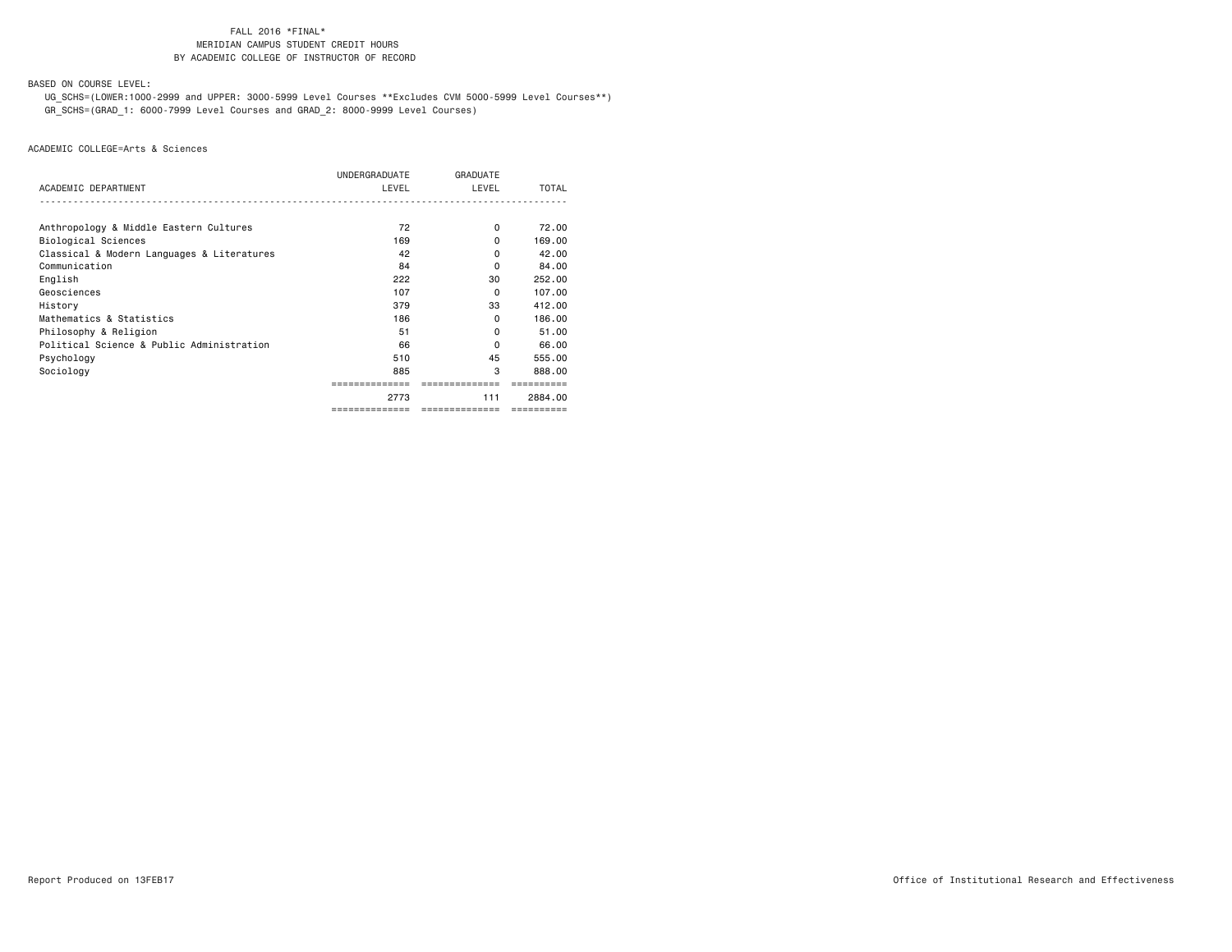# FALL 2016 \*FINAL\***MERIDIAN CAMPUS STUDENT CREDIT HOURS** BY ACADEMIC COLLEGE OF INSTRUCTOR OF RECORD

BASED ON COURSE LEVEL:

 UG\_SCHS=(LOWER:1000-2999 and UPPER: 3000-5999 Level Courses \*\*Excludes CVM 5000-5999 Level Courses\*\*) GR\_SCHS=(GRAD\_1: 6000-7999 Level Courses and GRAD\_2: 8000-9999 Level Courses)

|                                            | UNDERGRADUATE  | <b>GRADUATE</b> |              |
|--------------------------------------------|----------------|-----------------|--------------|
| ACADEMIC DEPARTMENT                        | LEVEL          | LEVEL           | <b>TOTAL</b> |
|                                            |                |                 |              |
| Anthropology & Middle Eastern Cultures     | 72             | 0               | 72.00        |
| Biological Sciences                        | 169            | 0               | 169.00       |
| Classical & Modern Languages & Literatures | 42             | 0               | 42.00        |
| Communication                              | 84             | 0               | 84.00        |
| English                                    | 222            | 30              | 252.00       |
| Geosciences                                | 107            | 0               | 107.00       |
| History                                    | 379            | 33              | 412,00       |
| Mathematics & Statistics                   | 186            | $\Omega$        | 186,00       |
| Philosophy & Religion                      | 51             | 0               | 51.00        |
| Political Science & Public Administration  | 66             | 0               | 66.00        |
| Psychology                                 | 510            | 45              | 555.00       |
| Sociology                                  | 885            | 3               | 888.00       |
|                                            |                |                 |              |
|                                            | 2773           | 111             | 2884.00      |
|                                            | ============== | ==============  |              |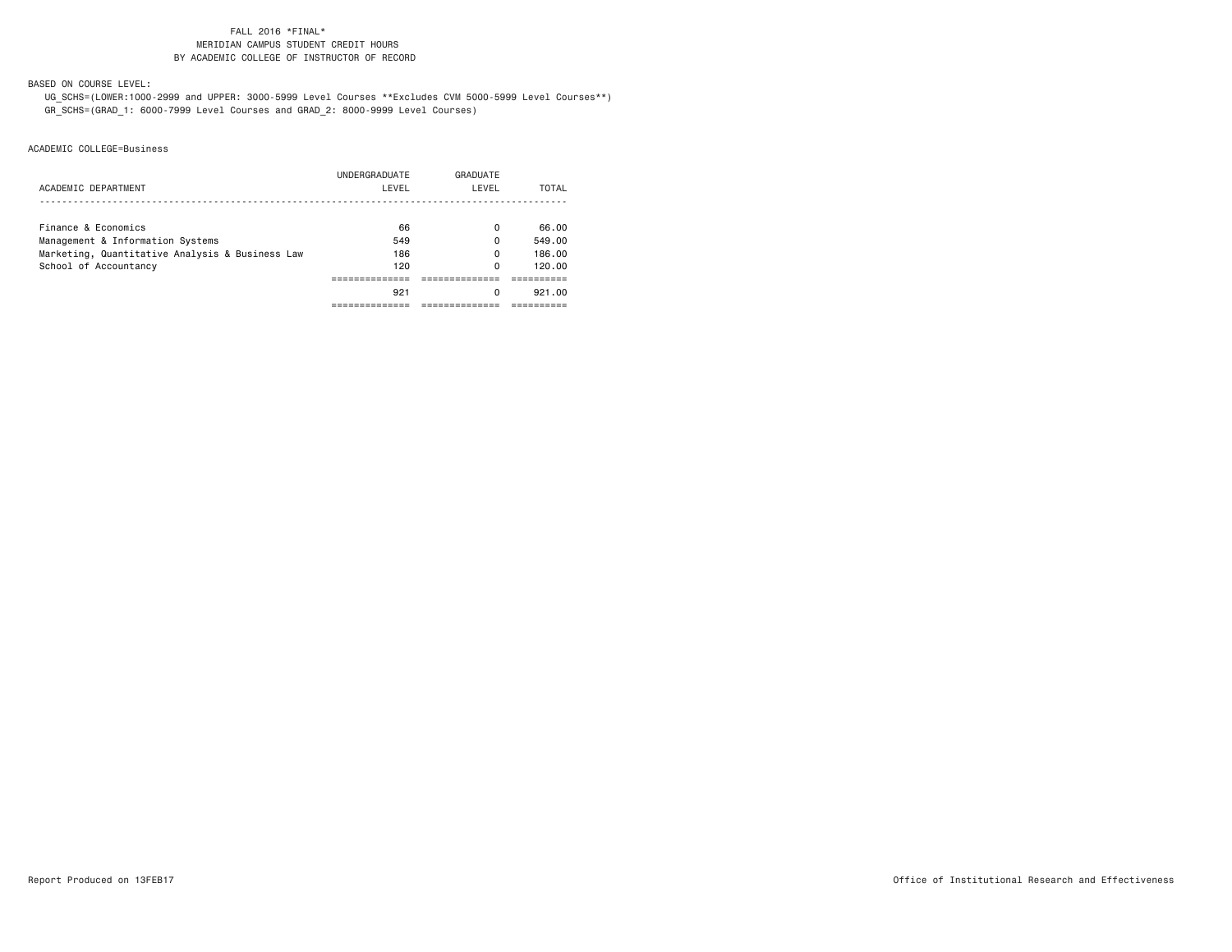# FALL 2016 \*FINAL\***MERIDIAN CAMPUS STUDENT CREDIT HOURS** BY ACADEMIC COLLEGE OF INSTRUCTOR OF RECORD

BASED ON COURSE LEVEL:

 UG\_SCHS=(LOWER:1000-2999 and UPPER: 3000-5999 Level Courses \*\*Excludes CVM 5000-5999 Level Courses\*\*) GR\_SCHS=(GRAD\_1: 6000-7999 Level Courses and GRAD\_2: 8000-9999 Level Courses)

|                                                 | <b>UNDERGRADUATE</b> | GRADUATE |        |
|-------------------------------------------------|----------------------|----------|--------|
| ACADEMIC DEPARTMENT                             | LEVEL                | LEVEL    | TOTAL  |
|                                                 |                      |          |        |
| Finance & Economics                             | 66                   | 0        | 66.00  |
| Management & Information Systems                | 549                  | 0        | 549.00 |
| Marketing, Quantitative Analysis & Business Law | 186                  | 0        | 186.00 |
| School of Accountancy                           | 120                  | 0        | 120.00 |
|                                                 |                      |          |        |
|                                                 | 921                  | 0        | 921.00 |
|                                                 |                      |          |        |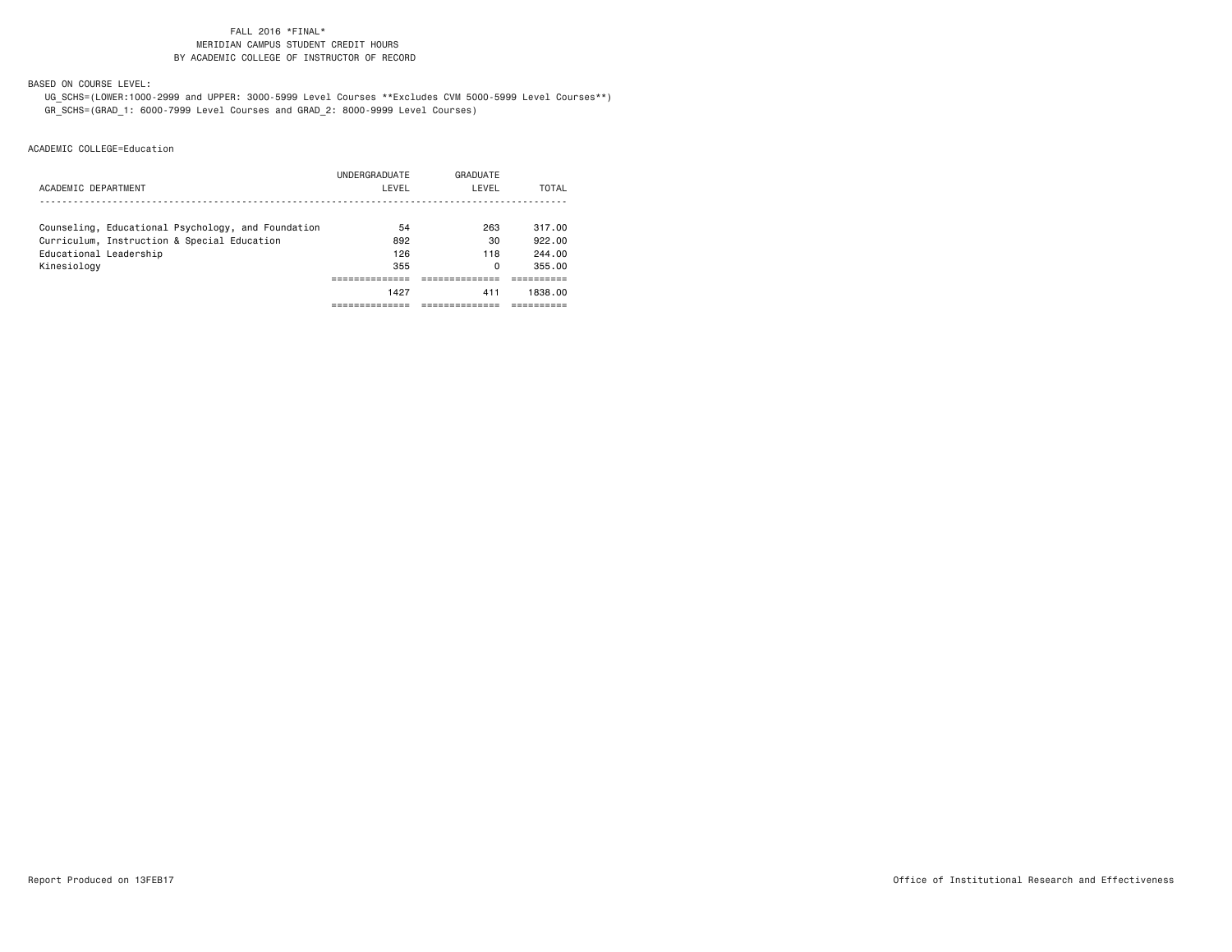# FALL 2016 \*FINAL\***MERIDIAN CAMPUS STUDENT CREDIT HOURS** BY ACADEMIC COLLEGE OF INSTRUCTOR OF RECORD

BASED ON COURSE LEVEL:

 UG\_SCHS=(LOWER:1000-2999 and UPPER: 3000-5999 Level Courses \*\*Excludes CVM 5000-5999 Level Courses\*\*) GR\_SCHS=(GRAD\_1: 6000-7999 Level Courses and GRAD\_2: 8000-9999 Level Courses)

|                                                    | UNDERGRADUATE | GRADUATE |         |
|----------------------------------------------------|---------------|----------|---------|
| ACADEMIC DEPARTMENT                                | LEVEL         | LEVEL    | TOTAL   |
|                                                    |               |          |         |
| Counseling, Educational Psychology, and Foundation | 54            | 263      | 317.00  |
| Curriculum, Instruction & Special Education        | 892           | 30       | 922.00  |
| Educational Leadership                             | 126           | 118      | 244.00  |
| Kinesiology                                        | 355           | 0        | 355.00  |
|                                                    |               |          |         |
|                                                    | 1427          | 411      | 1838.00 |
|                                                    |               |          |         |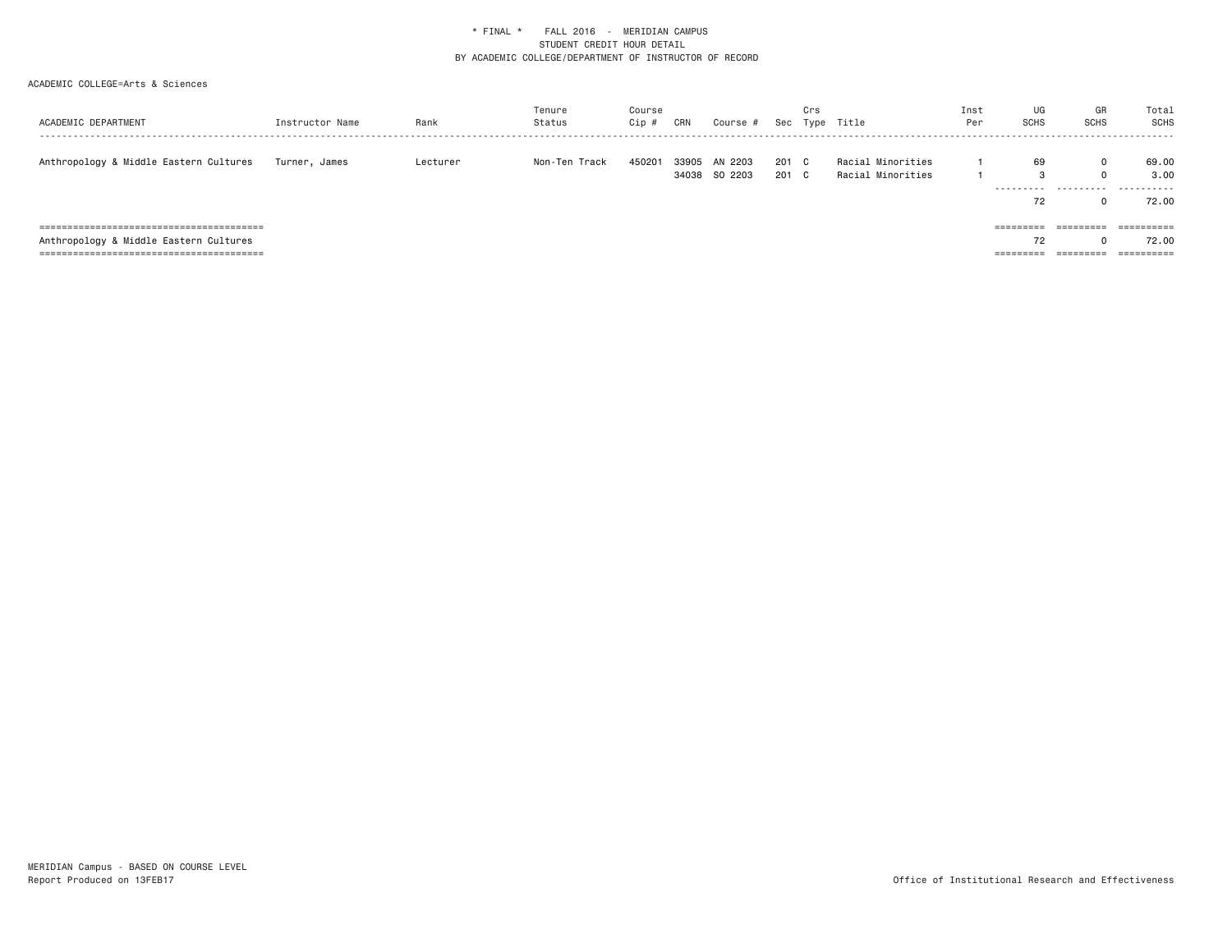| ACADEMIC DEPARTMENT                    | Instructor Name | Rank     | Tenure<br>Status | Course<br>Cip # | CRN            | Course #           | Sec            | Crs | Type Title                             | Inst<br>Per | UG<br>SCHS                  | GR<br>SCHS                     | Total<br>SCHS               |
|----------------------------------------|-----------------|----------|------------------|-----------------|----------------|--------------------|----------------|-----|----------------------------------------|-------------|-----------------------------|--------------------------------|-----------------------------|
| Anthropology & Middle Eastern Cultures | Turner, James   | Lecturer | Non-Ten Track    | 450201          | 33905<br>34038 | AN 2203<br>SO 2203 | 201 C<br>201 C |     | Racial Minorities<br>Racial Minorities |             | 69<br>3<br>----------<br>72 | 0<br>$\Omega$<br>.<br>$\Omega$ | 69.00<br>3.00<br>.<br>72.00 |
|                                        |                 |          |                  |                 |                |                    |                |     |                                        |             | $=$ = = = = = = = =         | ----------                     | ==========                  |
| Anthropology & Middle Eastern Cultures |                 |          |                  |                 |                |                    |                |     |                                        |             | 72                          | $\Omega$                       | 72.00                       |
|                                        |                 |          |                  |                 |                |                    |                |     |                                        |             | ======                      | =========                      | ==========                  |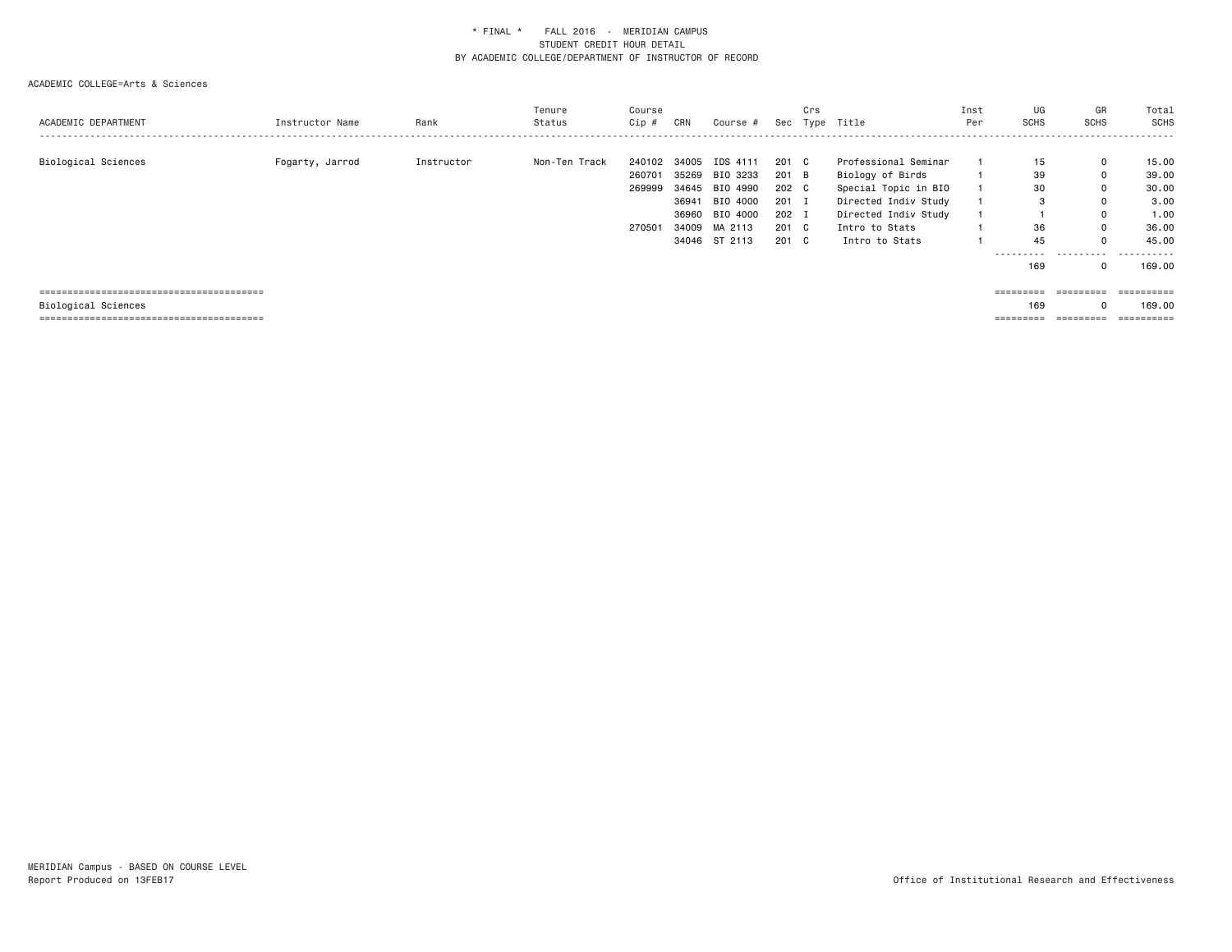|                     |                 |            | Tenure        | Course  |       |               |       | Crs |                      | Inst | UG                  | GR                  | Total           |
|---------------------|-----------------|------------|---------------|---------|-------|---------------|-------|-----|----------------------|------|---------------------|---------------------|-----------------|
| ACADEMIC DEPARTMENT | Instructor Name | Rank       | Status        | $Cip$ # | CRN   | Course #      | Sec   |     | Type Title           | Per  | <b>SCHS</b>         | <b>SCHS</b>         | SCHS            |
|                     |                 |            |               |         |       |               |       |     |                      |      |                     |                     | - - - - - -     |
| Biological Sciences | Fogarty, Jarrod | Instructor | Non-Ten Track | 240102  | 34005 | IDS 4111      | 201 C |     | Professional Seminar |      | 15                  | $\Omega$            | 15.00           |
|                     |                 |            |               | 260701  | 35269 | BIO 3233      | 201 B |     | Biology of Birds     |      | 39                  | $\Omega$            | 39.00           |
|                     |                 |            |               | 269999  | 34645 | BIO 4990      | 202 C |     | Special Topic in BIO |      | 30                  | $\Omega$            | 30.00           |
|                     |                 |            |               |         | 36941 | BIO 4000      | 201 I |     | Directed Indiv Study |      | 3                   |                     | 3.00            |
|                     |                 |            |               |         | 36960 | BIO 4000      | 202 I |     | Directed Indiv Study |      |                     |                     | 1.00            |
|                     |                 |            |               | 270501  | 34009 | MA 2113       | 201 C |     | Intro to Stats       |      | 36                  | 0                   | 36.00           |
|                     |                 |            |               |         |       | 34046 ST 2113 | 201 C |     | Intro to Stats       |      | 45                  |                     | 45.00           |
|                     |                 |            |               |         |       |               |       |     |                      |      | --------- <i>-</i>  | .                   | ------<br>$  -$ |
|                     |                 |            |               |         |       |               |       |     |                      |      | 169                 |                     | 169.00          |
|                     |                 |            |               |         |       |               |       |     |                      |      |                     |                     |                 |
|                     |                 |            |               |         |       |               |       |     |                      |      | =========           | ----------          | ==========      |
| Biological Sciences |                 |            |               |         |       |               |       |     |                      |      | 169                 |                     | 169.00          |
|                     |                 |            |               |         |       |               |       |     |                      |      | $=$ = = = = = = = = | $=$ = = = = = = = = |                 |
|                     |                 |            |               |         |       |               |       |     |                      |      |                     |                     |                 |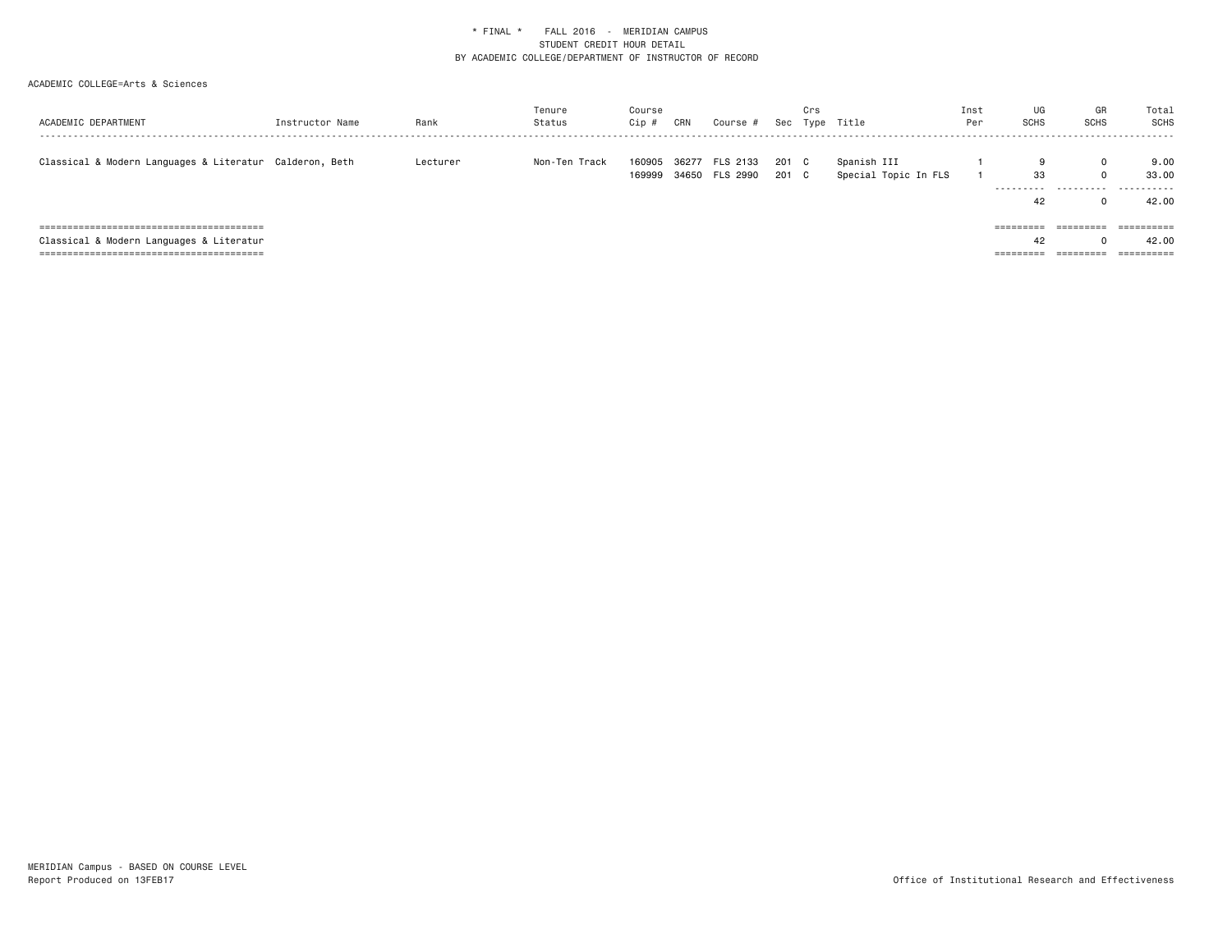| ACADEMIC DEPARTMENT                                     | Instructor Name | Rank     | Tenure<br>Status | Course<br>$Cip$ # | CRN   | Course #                   | Sec            | Crs | Type Title                          | Inst<br>Per | UG<br><b>SCHS</b>     | GR<br><b>SCHS</b> | Total<br>SCHS               |
|---------------------------------------------------------|-----------------|----------|------------------|-------------------|-------|----------------------------|----------------|-----|-------------------------------------|-------------|-----------------------|-------------------|-----------------------------|
| Classical & Modern Languages & Literatur Calderon, Beth |                 | Lecturer | Non-Ten Track    | 160905<br>169999  | 36277 | FLS 2133<br>34650 FLS 2990 | 201 C<br>201 C |     | Spanish III<br>Special Topic In FLS |             | 33<br>---------<br>42 | $\mathbf{0}$<br>. | 9.00<br>33.00<br>.<br>42.00 |
|                                                         |                 |          |                  |                   |       |                            |                |     |                                     |             | $=$ = = = = = = = =   | =========         | ==========                  |
| Classical & Modern Languages & Literatur                |                 |          |                  |                   |       |                            |                |     |                                     |             | 42                    |                   | 42.00                       |
|                                                         |                 |          |                  |                   |       |                            |                |     |                                     |             | =========             | =========         | ==========                  |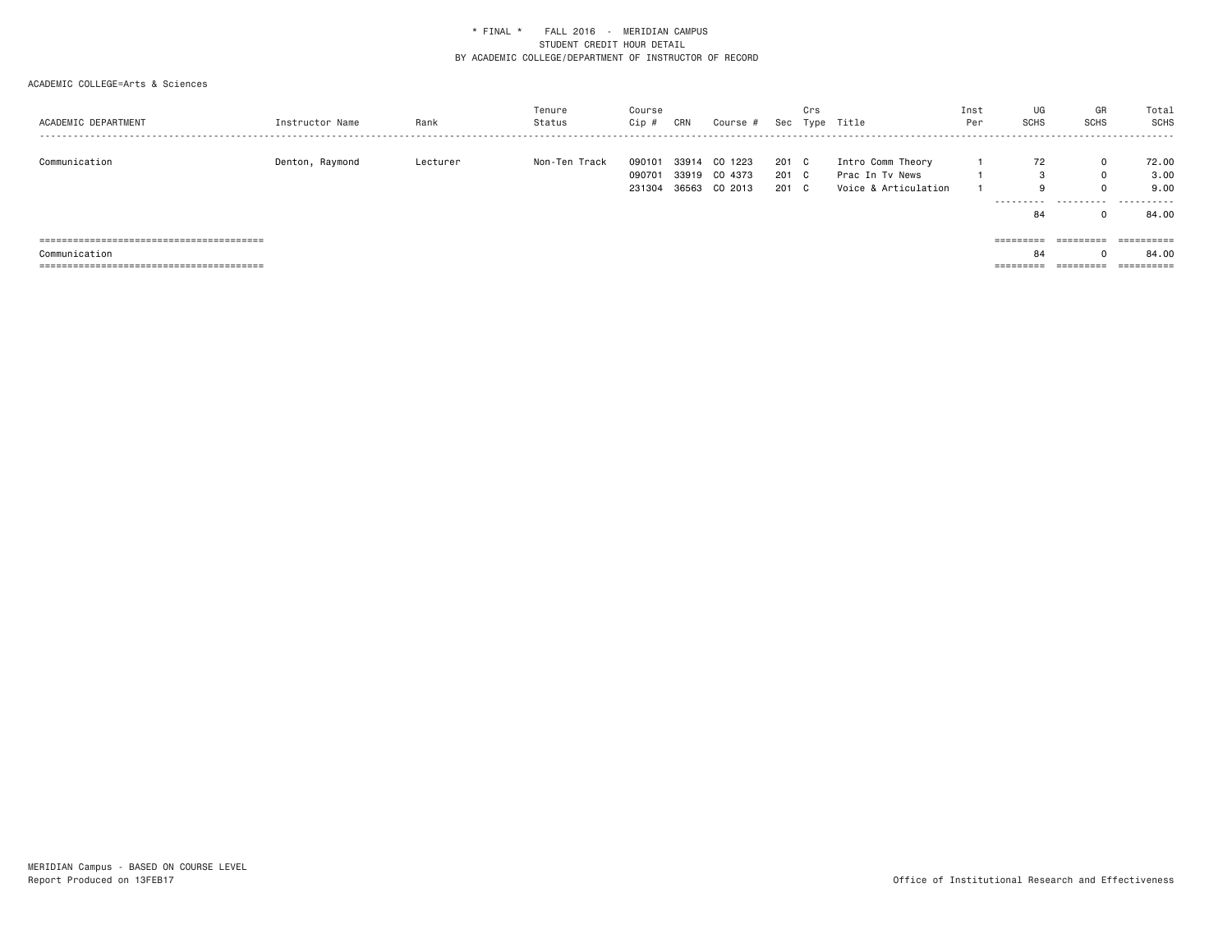| ACADEMIC DEPARTMENT                             | Instructor Name | Rank     | Tenure<br>Status | Course<br>$Cip$ #          | CRN   | Course #                                  |                         | Crs | Sec Type Title                                               | Inst<br>Per | UG<br>SCHS                  | GR<br>SCHS         | Total<br>SCHS                                               |
|-------------------------------------------------|-----------------|----------|------------------|----------------------------|-------|-------------------------------------------|-------------------------|-----|--------------------------------------------------------------|-------------|-----------------------------|--------------------|-------------------------------------------------------------|
| Communication                                   | Denton, Raymond | Lecturer | Non-Ten Track    | 090101<br>090701<br>231304 | 33914 | CO 1223<br>33919 CO 4373<br>36563 CO 2013 | 201 C<br>201 C<br>201 C |     | Intro Comm Theory<br>Prac In Tv News<br>Voice & Articulation |             | 72<br>Q<br>----------<br>84 | $\Omega$<br>0<br>. | 72.00<br>3.00<br>9.00<br>- - - - - - -<br>$\cdots$<br>84.00 |
|                                                 |                 |          |                  |                            |       |                                           |                         |     |                                                              |             | =========                   | =========          | ==========                                                  |
| Communication                                   |                 |          |                  |                            |       |                                           |                         |     |                                                              |             | 84                          |                    | 84.00                                                       |
| . ====================================<br>===== |                 |          |                  |                            |       |                                           |                         |     |                                                              |             | =========                   | =========          | ==========                                                  |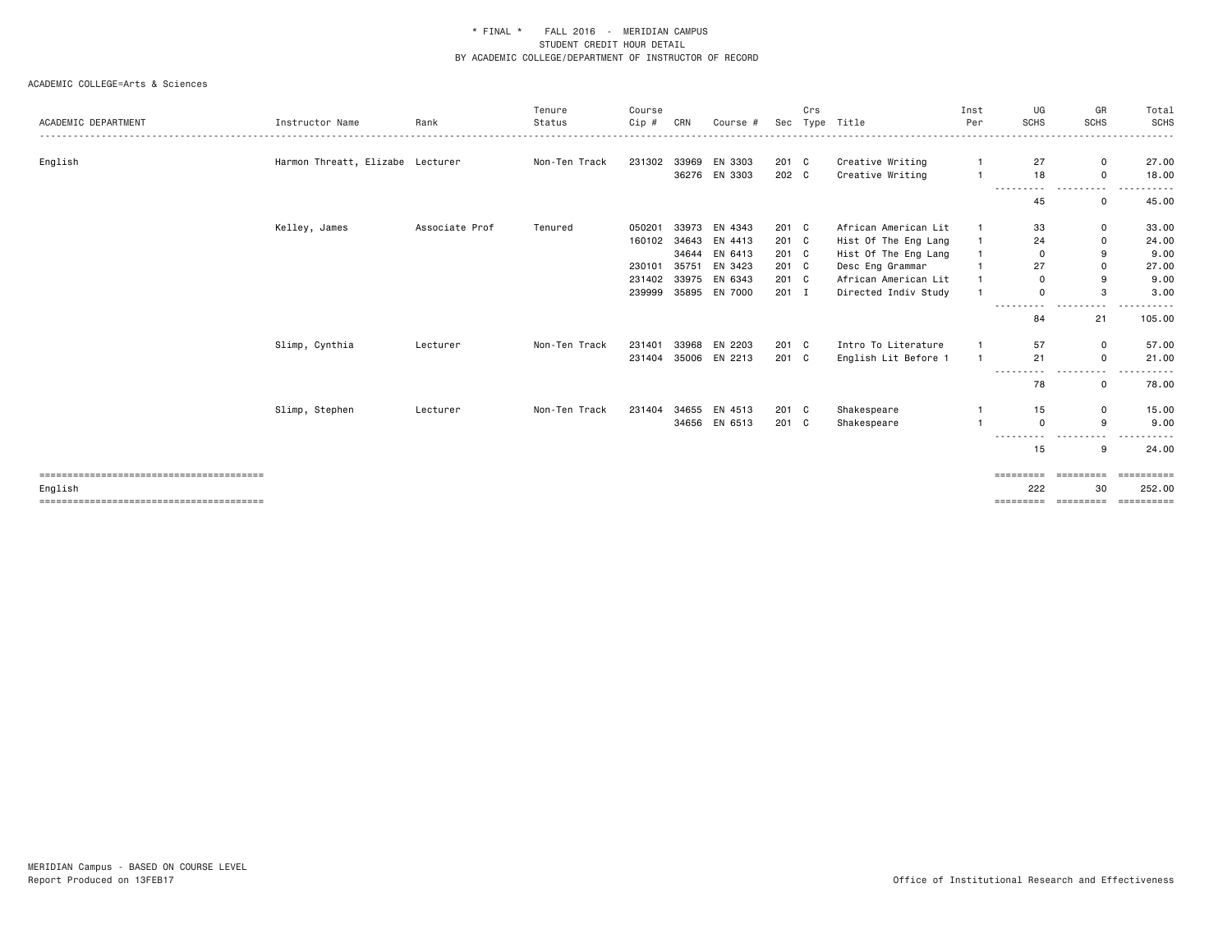|                     |                                  |                | Tenure        | Course       |       |                      |       | Crs  |                      | Inst | UG                  | GR                            | Total                 |
|---------------------|----------------------------------|----------------|---------------|--------------|-------|----------------------|-------|------|----------------------|------|---------------------|-------------------------------|-----------------------|
| ACADEMIC DEPARTMENT | Instructor Name                  | Rank           | Status        | Cip #        | CRN   | Course #             | Sec   | Type | Title                | Per  | <b>SCHS</b>         | <b>SCHS</b>                   | <b>SCHS</b>           |
|                     |                                  |                |               |              |       |                      |       |      |                      |      |                     |                               |                       |
| English             | Harmon Threatt, Elizabe Lecturer |                | Non-Ten Track | 231302       | 33969 | EN 3303              | 201 C |      | Creative Writing     |      | 27                  | 0                             | 27.00                 |
|                     |                                  |                |               |              |       | 36276 EN 3303        | 202 C |      | Creative Writing     |      | 18<br>---------     | 0<br>.                        | 18.00<br>. <b>.</b> . |
|                     |                                  |                |               |              |       |                      |       |      |                      |      | 45                  | $\Omega$                      | 45.00                 |
|                     | Kelley, James                    | Associate Prof | Tenured       | 050201       | 33973 | EN 4343              | 201 C |      | African American Lit |      | 33                  | 0                             | 33.00                 |
|                     |                                  |                |               | 160102 34643 |       | EN 4413              | 201 C |      | Hist Of The Eng Lang |      | 24                  | $\mathbf 0$                   | 24.00                 |
|                     |                                  |                |               |              | 34644 | EN 6413              | 201 C |      | Hist Of The Eng Lang |      | $\Omega$            | 9                             | 9.00                  |
|                     |                                  |                |               | 230101       | 35751 | EN 3423              | 201 C |      | Desc Eng Grammar     |      | 27                  | $\mathbf 0$                   | 27.00                 |
|                     |                                  |                |               | 231402       | 33975 | EN 6343              | 201 C |      | African American Lit |      | 0                   | 9                             | 9.00                  |
|                     |                                  |                |               | 239999       |       | 35895 EN 7000        | 201 I |      | Directed Indiv Study |      | $\Omega$            | 3<br>.                        | 3.00                  |
|                     |                                  |                |               |              |       |                      |       |      |                      |      | ----------<br>84    | 21                            | 105.00                |
|                     | Slimp, Cynthia                   | Lecturer       | Non-Ten Track | 231401       | 33968 | EN 2203              | 201 C |      | Intro To Literature  |      | 57                  | $\mathbf 0$                   | 57.00                 |
|                     |                                  |                |               |              |       | 231404 35006 EN 2213 | 201 C |      | English Lit Before 1 |      | 21                  | 0                             | 21.00                 |
|                     |                                  |                |               |              |       |                      |       |      |                      |      | .<br>78             | .<br>$\Omega$                 | .<br>78.00            |
|                     | Slimp, Stephen                   | Lecturer       | Non-Ten Track | 231404       | 34655 | EN 4513              | 201 C |      | Shakespeare          |      | 15                  | $\mathbf 0$                   | 15.00                 |
|                     |                                  |                |               |              |       | 34656 EN 6513        | 201 C |      | Shakespeare          |      | $\Omega$            | 9                             | 9.00                  |
|                     |                                  |                |               |              |       |                      |       |      |                      |      | ---------           |                               |                       |
|                     |                                  |                |               |              |       |                      |       |      |                      |      | 15                  | 9                             | 24.00                 |
|                     |                                  |                |               |              |       |                      |       |      |                      |      | $=$ = = = = = = = = | eessesse                      |                       |
| English             |                                  |                |               |              |       |                      |       |      |                      |      | 222                 | 30                            | 252.00                |
|                     |                                  |                |               |              |       |                      |       |      |                      |      |                     | ========= ========= ========= |                       |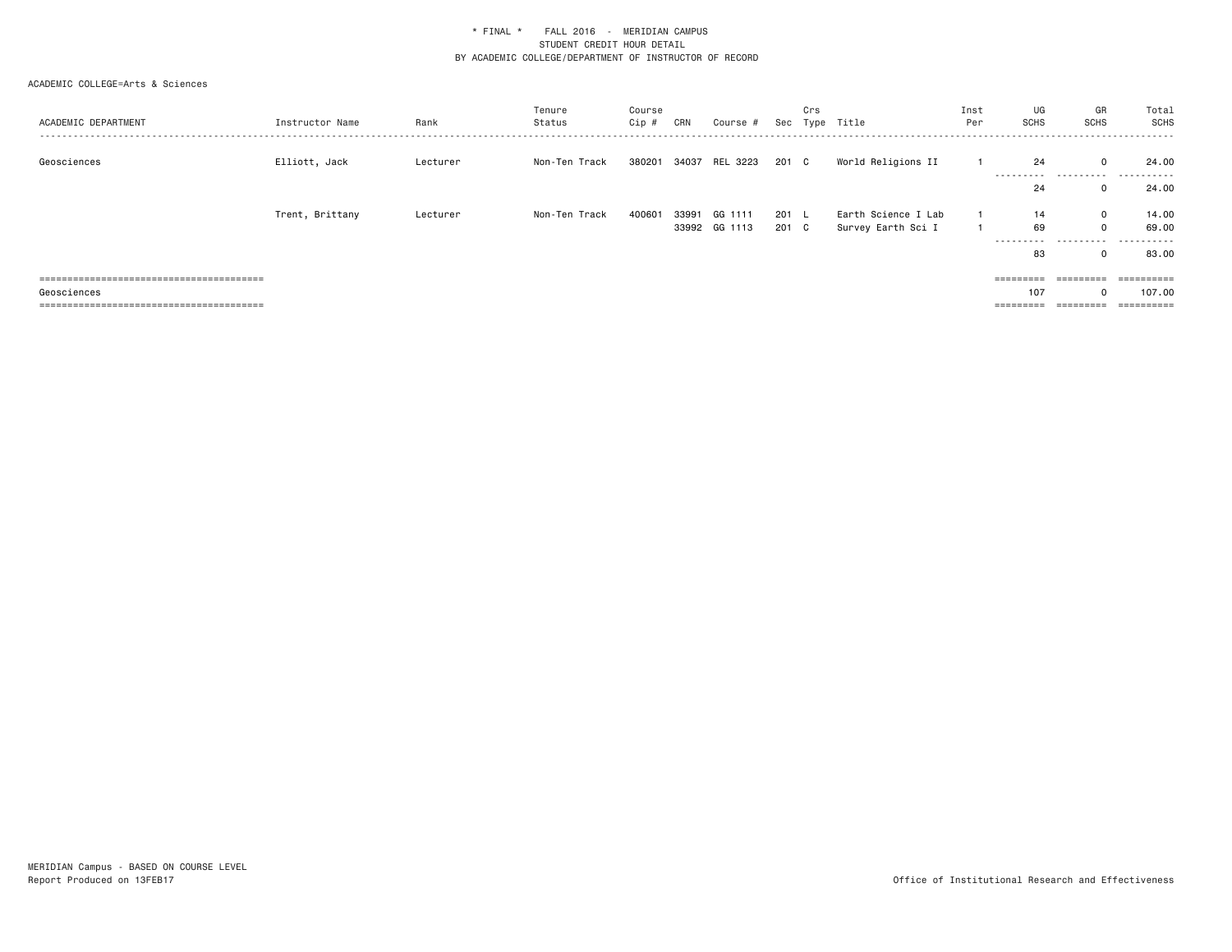| ACADEMIC DEPARTMENT                | Instructor Name | Rank     | Tenure<br>Status | Course<br>Cip # | CRN   | Course #                 |                | Crs | Sec Type Title                            | Inst<br>Per | UG<br><b>SCHS</b>      | GR<br>SCHS                      | Total<br>SCHS       |
|------------------------------------|-----------------|----------|------------------|-----------------|-------|--------------------------|----------------|-----|-------------------------------------------|-------------|------------------------|---------------------------------|---------------------|
| Geosciences                        | Elliott, Jack   | Lecturer | Non-Ten Track    | 380201          |       | 34037 REL 3223           | 201 C          |     | World Religions II                        |             | 24<br>24               | 0<br>0                          | 24.00<br><br>24.00  |
|                                    | Trent, Brittany | Lecturer | Non-Ten Track    | 400601          | 33991 | GG 1111<br>33992 GG 1113 | 201 L<br>201 C |     | Earth Science I Lab<br>Survey Earth Sci I |             | 14<br>69<br>---------- | $\mathbf 0$<br>$\mathbf 0$<br>. | 14.00<br>69.00<br>. |
|                                    |                 |          |                  |                 |       |                          |                |     |                                           |             | 83                     | 0                               | 83.00               |
|                                    |                 |          |                  |                 |       |                          |                |     |                                           |             | =========              | ----------                      | ==========          |
| Geosciences                        |                 |          |                  |                 |       |                          |                |     |                                           |             | 107                    | $\Omega$                        | 107.00              |
| ================================== |                 |          |                  |                 |       |                          |                |     |                                           |             | $=$ = = = = = = = =    |                                 | ==========          |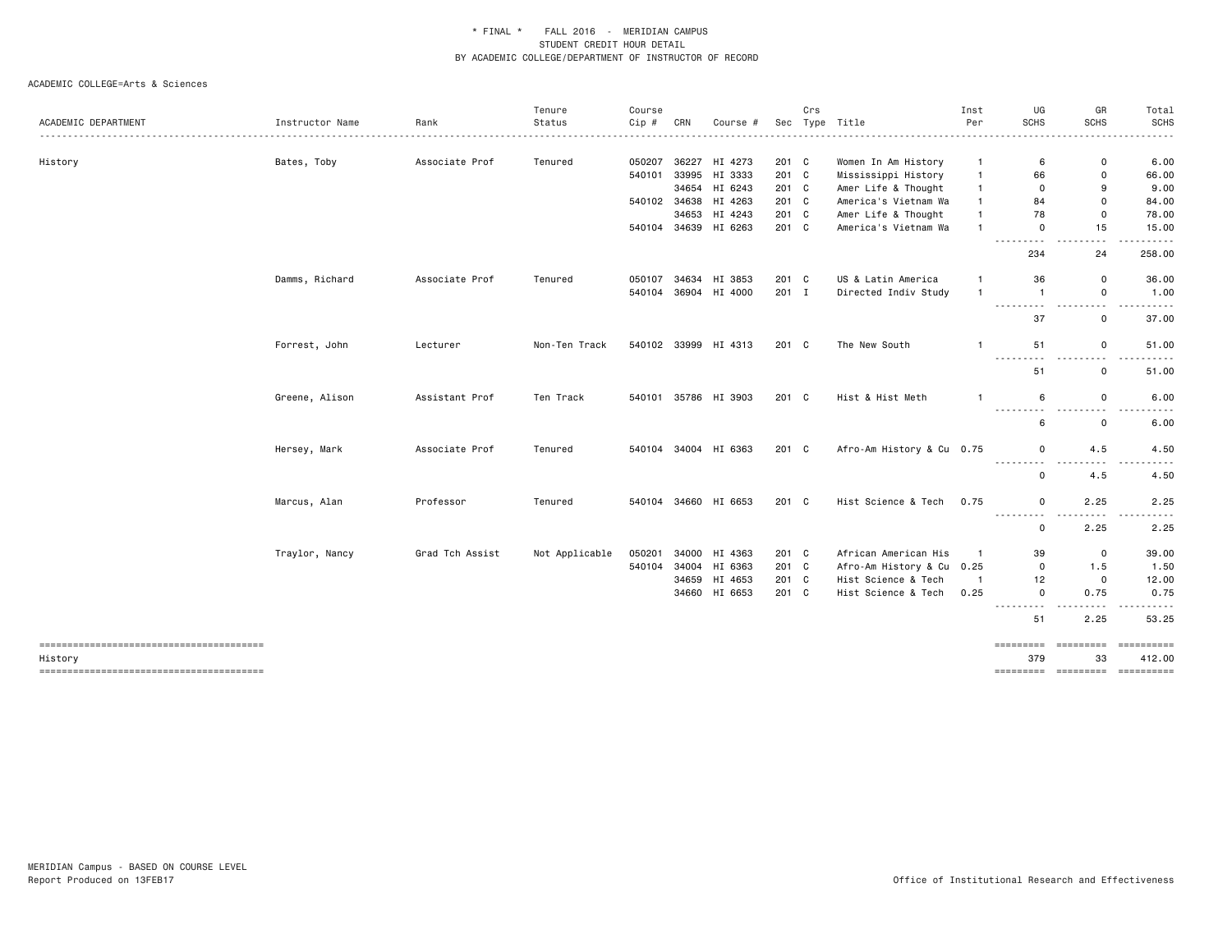|                     |                 |                 | Tenure         | Course   |              |                      |               | Crs |                           | Inst           | UG                                | GR                    | Total                            |
|---------------------|-----------------|-----------------|----------------|----------|--------------|----------------------|---------------|-----|---------------------------|----------------|-----------------------------------|-----------------------|----------------------------------|
| ACADEMIC DEPARTMENT | Instructor Name | Rank            | Status         | $Cip \#$ | CRN          | Course #             |               |     | Sec Type Title            | Per            | <b>SCHS</b>                       | <b>SCHS</b>           | SCHS                             |
| History             | Bates, Toby     | Associate Prof  | Tenured        | 050207   | 36227        | HI 4273              | 201 C         |     | Women In Am History       | -1             | 6                                 | 0                     | 6.00                             |
|                     |                 |                 |                | 540101   | 33995        | HI 3333              | 201 C         |     | Mississippi History       | 1              | 66                                | 0                     | 66.00                            |
|                     |                 |                 |                |          | 34654        | HI 6243              | 201 C         |     | Amer Life & Thought       | $\mathbf{1}$   | $\mathbf 0$                       | 9                     | 9.00                             |
|                     |                 |                 |                |          | 540102 34638 | HI 4263              | 201 C         |     | America's Vietnam Wa      |                | 84                                | 0                     | 84.00                            |
|                     |                 |                 |                |          | 34653        | HI 4243              | 201 C         |     | Amer Life & Thought       |                | 78                                | 0                     | 78.00                            |
|                     |                 |                 |                |          | 540104 34639 | HI 6263              | 201 C         |     | America's Vietnam Wa      |                | $\Omega$<br>$\frac{1}{2}$<br>---- | 15                    | 15.00<br>----                    |
|                     |                 |                 |                |          |              |                      |               |     |                           |                | 234                               | 24                    | 258.00                           |
|                     | Damms, Richard  | Associate Prof  | Tenured        | 050107   | 34634        | HI 3853              | 201 C         |     | US & Latin America        |                | 36                                | 0                     | 36.00                            |
|                     |                 |                 |                |          |              | 540104 36904 HI 4000 | 201 I         |     | Directed Indiv Study      | $\mathbf{1}$   | $\overline{1}$                    | 0                     | 1.00                             |
|                     |                 |                 |                |          |              |                      |               |     |                           |                | ----------<br>37                  | .<br>0                | $\cdots$<br>37.00                |
|                     | Forrest, John   | Lecturer        | Non-Ten Track  |          |              | 540102 33999 HI 4313 | 201 C         |     | The New South             | 1              | 51                                | 0                     | 51.00                            |
|                     |                 |                 |                |          |              |                      |               |     |                           |                | $- - -$<br>51                     | 0                     | 51.00                            |
|                     | Greene, Alison  | Assistant Prof  | Ten Track      |          |              | 540101 35786 HI 3903 | 201 C         |     | Hist & Hist Meth          |                | 6                                 | 0                     | 6.00                             |
|                     |                 |                 |                |          |              |                      |               |     |                           |                | .<br>6                            | 0                     | 6.00                             |
|                     | Hersey, Mark    | Associate Prof  | Tenured        |          |              | 540104 34004 HI 6363 | $201 \quad C$ |     | Afro-Am History & Cu 0.75 |                | $\mathbf{0}$                      | 4.5                   | 4.50                             |
|                     |                 |                 |                |          |              |                      |               |     |                           |                | .<br>0                            | 4.5                   | ----<br>4.50                     |
|                     | Marcus, Alan    | Professor       | Tenured        |          |              | 540104 34660 HI 6653 | 201 C         |     | Hist Science & Tech       | 0.75           | 0<br>.                            | 2.25<br>$\cdots$      | 2.25                             |
|                     |                 |                 |                |          |              |                      |               |     |                           |                | 0                                 | 2.25                  | 2.25                             |
|                     | Traylor, Nancy  | Grad Tch Assist | Not Applicable | 050201   |              | 34000 HI 4363        | 201 C         |     | African American His      | -1             | 39                                | 0                     | 39.00                            |
|                     |                 |                 |                |          | 540104 34004 | HI 6363              | 201 C         |     | Afro-Am History & Cu 0.25 |                | 0                                 | 1.5                   | 1.50                             |
|                     |                 |                 |                |          | 34659        | HI 4653              | 201 C         |     | Hist Science & Tech       | $\overline{1}$ | 12                                | 0                     | 12.00                            |
|                     |                 |                 |                |          |              | 34660 HI 6653        | 201 C         |     | Hist Science & Tech       | 0.25           | $\Omega$<br>.                     | 0.75<br>$\frac{1}{2}$ | 0.75<br>.                        |
|                     |                 |                 |                |          |              |                      |               |     |                           |                | 51                                | 2.25                  | 53.25                            |
|                     |                 |                 |                |          |              |                      |               |     |                           |                | =========                         | =========             |                                  |
| History             |                 |                 |                |          |              |                      |               |     |                           |                | 379                               | 33                    | 412.00                           |
|                     |                 |                 |                |          |              |                      |               |     |                           |                |                                   |                       | ========== ========== ========== |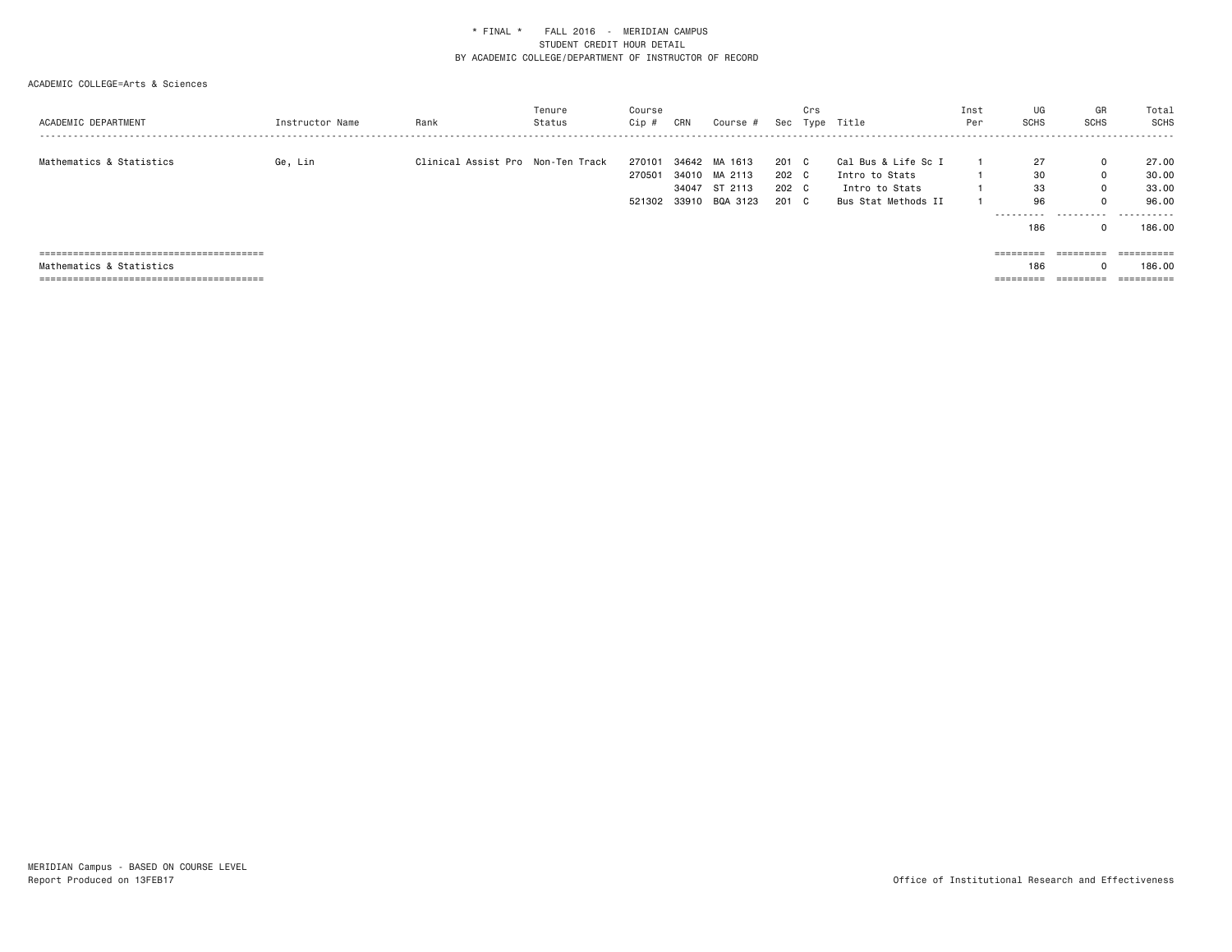| ACADEMIC DEPARTMENT      | Instructor Name | Rank                              | Tenure<br>Status | Course<br>$Cip$ # | CRN                     | Course #                         |                       | Crs          | Sec Type Title                                          | Inst<br>Per | UG<br><b>SCHS</b>       | GR<br><b>SCHS</b>      | Total<br>SCHS<br>.       |
|--------------------------|-----------------|-----------------------------------|------------------|-------------------|-------------------------|----------------------------------|-----------------------|--------------|---------------------------------------------------------|-------------|-------------------------|------------------------|--------------------------|
| Mathematics & Statistics | Ge, Lin         | Clinical Assist Pro Non-Ten Track |                  | 270101<br>270501  | 34642<br>34010<br>34047 | 1613<br>MA<br>MA 2113<br>ST 2113 | 201<br>202 C<br>202 C | $\mathbf{C}$ | Cal Bus & Life Sc I<br>Intro to Stats<br>Intro to Stats |             | 27<br>30<br>33          | $\Omega$<br>$\Omega$   | 27.00<br>30.00<br>33.00  |
|                          |                 |                                   |                  | 521302            | 33910                   | BQA 3123                         | 201 C                 |              | Bus Stat Methods II                                     |             | 96                      | 0                      | 96.00                    |
|                          |                 |                                   |                  |                   |                         |                                  |                       |              |                                                         |             | ----------              |                        |                          |
|                          |                 |                                   |                  |                   |                         |                                  |                       |              |                                                         |             | 186                     |                        | 186.00                   |
|                          |                 |                                   |                  |                   |                         |                                  |                       |              |                                                         |             |                         |                        |                          |
|                          |                 |                                   |                  |                   |                         |                                  |                       |              |                                                         |             | $=$ = = = = = = = =     | $=$ = = = = = = = =    | ==========               |
| Mathematics & Statistics |                 |                                   |                  |                   |                         |                                  |                       |              |                                                         |             | 186                     |                        | 186.00                   |
|                          |                 |                                   |                  |                   |                         |                                  |                       |              |                                                         |             | ----------<br>--------- | ---------<br>--------- | ----------<br>---------- |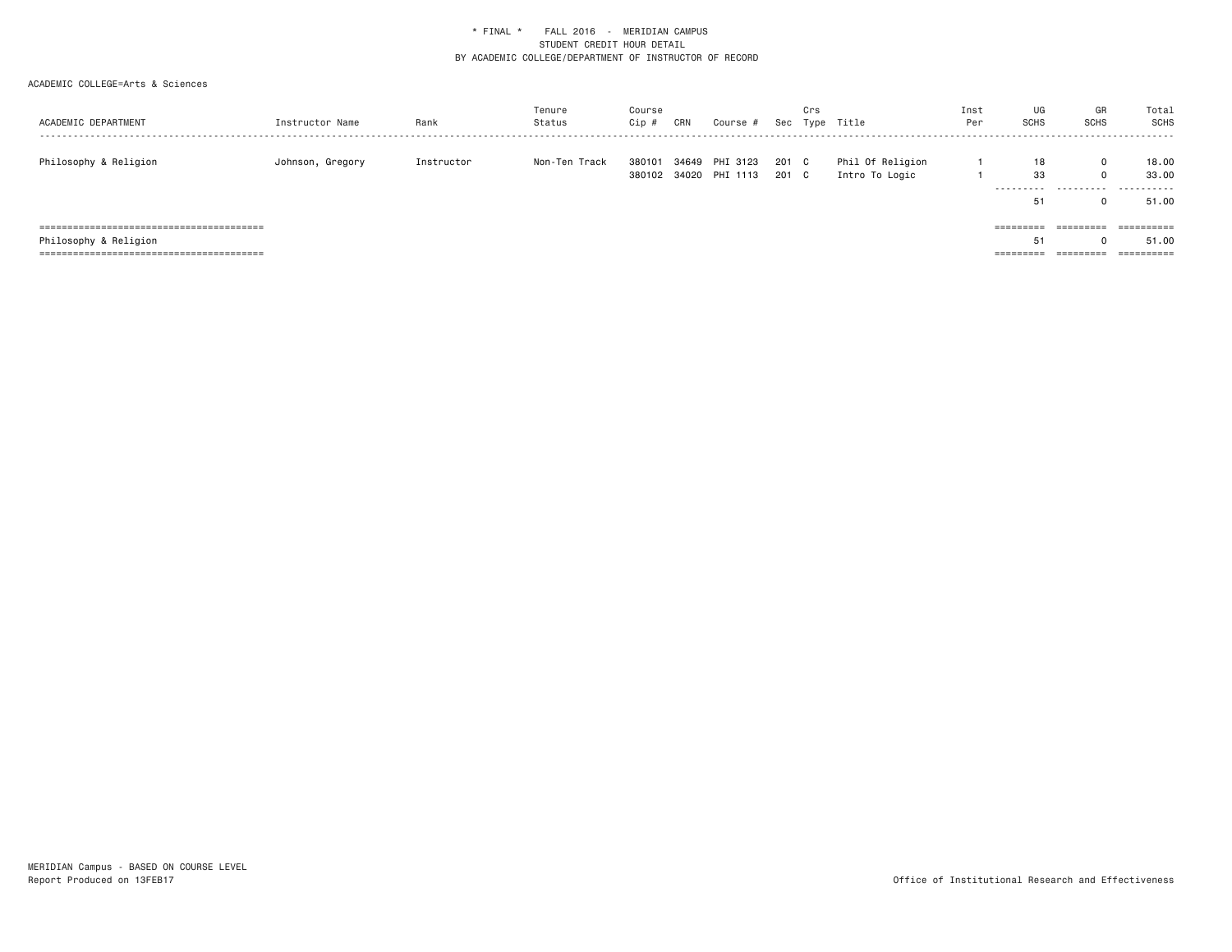| ACADEMIC DEPARTMENT   | Instructor Name  | Rank       | Tenure<br>Status | Course<br>Cip # | CRN   | Course #                          | Sec            | Crs | Type Title                         | Inst<br>Per | UG<br><b>SCHS</b>   | GR<br>SCHS              | Total<br><b>SCHS</b><br>------                   |
|-----------------------|------------------|------------|------------------|-----------------|-------|-----------------------------------|----------------|-----|------------------------------------|-------------|---------------------|-------------------------|--------------------------------------------------|
| Philosophy & Religion | Johnson, Gregory | Instructor | Non-Ten Track    | 380101          | 34649 | PHI 3123<br>380102 34020 PHI 1113 | 201 C<br>201 C |     | Phil Of Religion<br>Intro To Logic |             | 18<br>33<br>.<br>51 | 0<br>0<br>.<br>$\Omega$ | 18,00<br>33.00<br>- - - - - - -<br>$ -$<br>51.00 |
|                       |                  |            |                  |                 |       |                                   |                |     |                                    |             | $=$ = = = = = = = = | eeeeeeee                | eesseesse                                        |
| Philosophy & Religion |                  |            |                  |                 |       |                                   |                |     |                                    |             | 51                  | $\Omega$                | 51.00                                            |
|                       |                  |            |                  |                 |       |                                   |                |     |                                    |             | ======              | =========               | ==========                                       |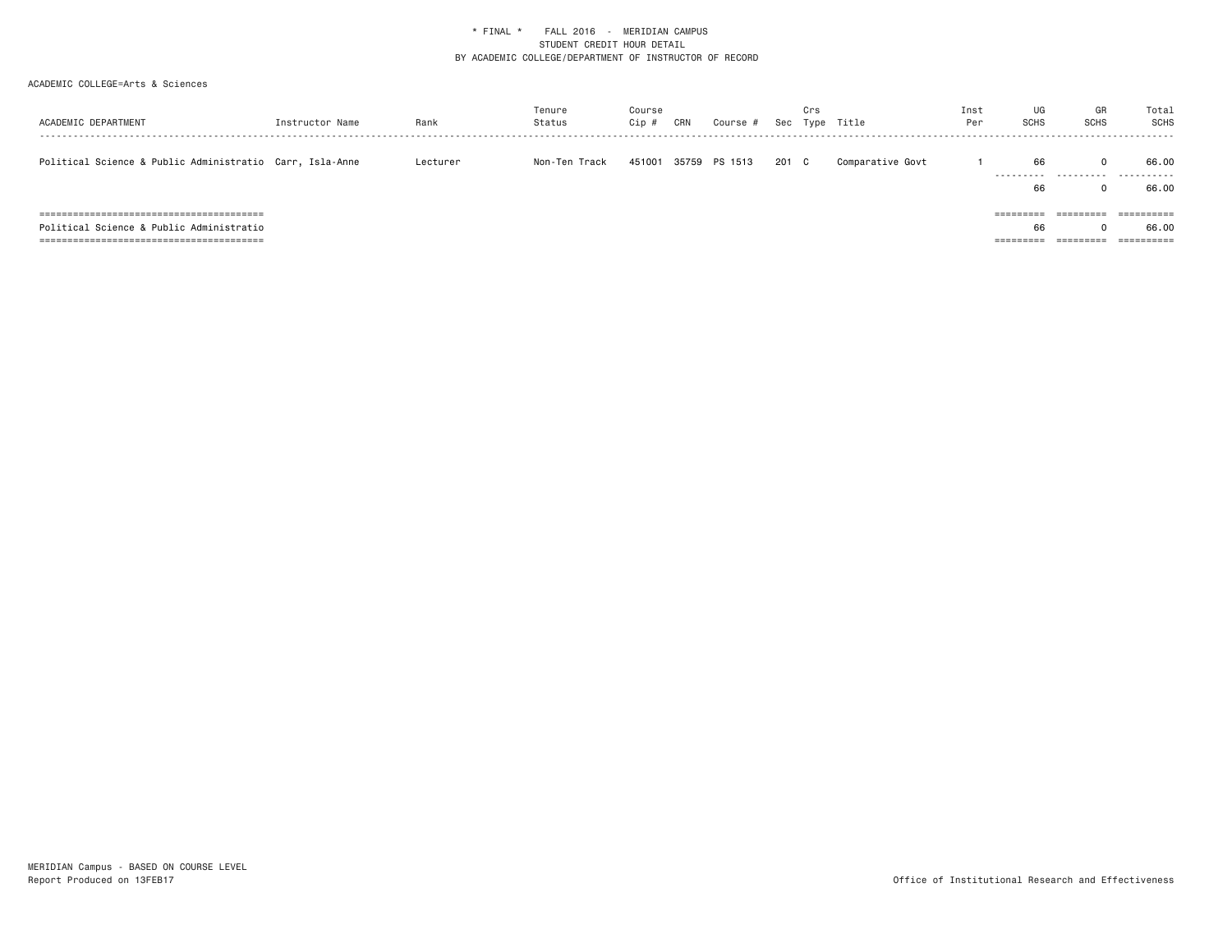| ACADEMIC DEPARTMENT                                      | Instructor Name | Rank     | Tenure<br>Status | Course<br>$Cip$ # | CRN   | Course # | Sec   | Crs | Type Title       | Inst<br>Per | UG<br><b>SCHS</b>      | GR<br>SCHS             | Total<br><b>SCHS</b>              |
|----------------------------------------------------------|-----------------|----------|------------------|-------------------|-------|----------|-------|-----|------------------|-------------|------------------------|------------------------|-----------------------------------|
| Political Science & Public Administratio Carr, Isla-Anne |                 | Lecturer | Non-Ten Track    | 451001            | 35759 | PS 1513  | 201 C |     | Comparative Govt |             | 66<br>----------<br>66 | .                      | 66.00<br>.<br>66.00               |
| Political Science & Public Administratio<br>=====        |                 |          |                  |                   |       |          |       |     |                  |             | =========<br>66        | =========<br>========= | ==========<br>66.00<br>========== |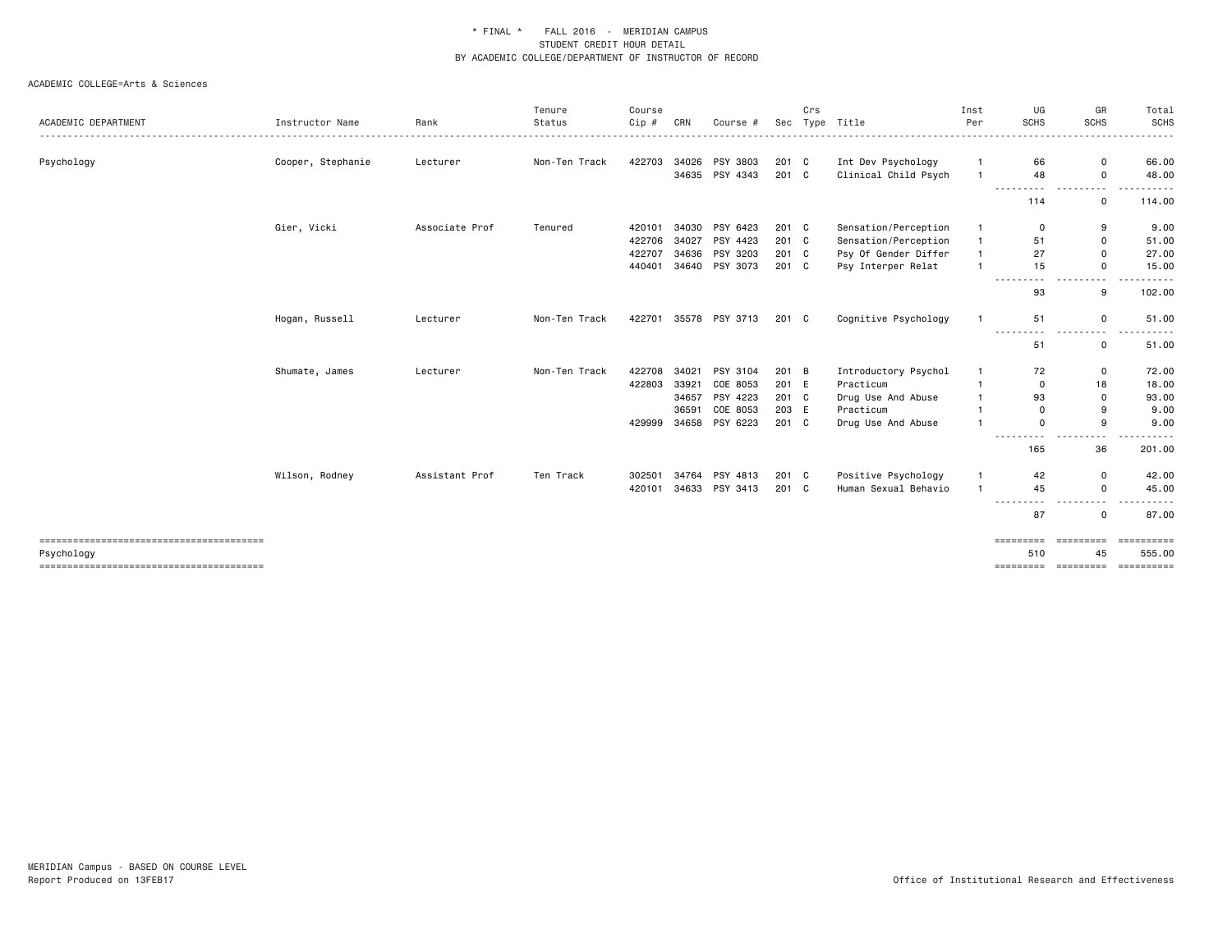|                     |                   |                | Tenure        | Course |       |                |       | Crs |                      | Inst | UG                                                                                                                               | GR              | Total                                                                                                                                                          |
|---------------------|-------------------|----------------|---------------|--------|-------|----------------|-------|-----|----------------------|------|----------------------------------------------------------------------------------------------------------------------------------|-----------------|----------------------------------------------------------------------------------------------------------------------------------------------------------------|
| ACADEMIC DEPARTMENT | Instructor Name   | Rank           | Status        | Cip#   | CRN   | Course #       | Sec   |     | Type Title           | Per  | <b>SCHS</b>                                                                                                                      | <b>SCHS</b>     | <b>SCHS</b><br>-----                                                                                                                                           |
| Psychology          | Cooper, Stephanie | Lecturer       | Non-Ten Track | 422703 |       | 34026 PSY 3803 | 201 C |     | Int Dev Psychology   |      | 66                                                                                                                               | 0               | 66.00                                                                                                                                                          |
|                     |                   |                |               |        |       | 34635 PSY 4343 | 201 C |     | Clinical Child Psych |      | 48                                                                                                                               | 0               | 48.00                                                                                                                                                          |
|                     |                   |                |               |        |       |                |       |     |                      |      | $\frac{1}{2}$<br>114                                                                                                             | 0               | 114.00                                                                                                                                                         |
|                     | Gier, Vicki       | Associate Prof | Tenured       | 420101 | 34030 | PSY 6423       | 201 C |     | Sensation/Perception |      | $\mathbf 0$                                                                                                                      | 9               | 9.00                                                                                                                                                           |
|                     |                   |                |               | 422706 | 34027 | PSY 4423       | 201 C |     | Sensation/Perception |      | 51                                                                                                                               | 0               | 51.00                                                                                                                                                          |
|                     |                   |                |               | 422707 | 34636 | PSY 3203       | 201 C |     | Psy Of Gender Differ |      | 27                                                                                                                               | 0               | 27.00                                                                                                                                                          |
|                     |                   |                |               | 440401 |       | 34640 PSY 3073 | 201 C |     | Psy Interper Relat   |      | 15                                                                                                                               | 0               | 15.00                                                                                                                                                          |
|                     |                   |                |               |        |       |                |       |     |                      |      | $- - -$<br>93                                                                                                                    | ----------<br>9 | 102.00                                                                                                                                                         |
|                     | Hogan, Russell    | Lecturer       | Non-Ten Track | 422701 |       | 35578 PSY 3713 | 201 C |     | Cognitive Psychology |      | 51                                                                                                                               | 0               | 51.00                                                                                                                                                          |
|                     |                   |                |               |        |       |                |       |     |                      |      | 51                                                                                                                               | 0               | 51.00                                                                                                                                                          |
|                     | Shumate, James    | Lecturer       | Non-Ten Track | 422708 | 34021 | PSY 3104       | 201 B |     | Introductory Psychol |      | 72                                                                                                                               | 0               | 72.00                                                                                                                                                          |
|                     |                   |                |               | 422803 | 33921 | COE 8053       | 201 E |     | Practicum            |      | $\mathbf 0$                                                                                                                      | 18              | 18.00                                                                                                                                                          |
|                     |                   |                |               |        | 34657 | PSY 4223       | 201 C |     | Drug Use And Abuse   |      | 93                                                                                                                               | $\Omega$        | 93.00                                                                                                                                                          |
|                     |                   |                |               |        | 36591 | COE 8053       | 203 E |     | Practicum            |      | $\mathbf 0$                                                                                                                      | 9               | 9.00                                                                                                                                                           |
|                     |                   |                |               | 429999 | 34658 | PSY 6223       | 201 C |     | Drug Use And Abuse   |      | $\Omega$                                                                                                                         | 9               | 9.00                                                                                                                                                           |
|                     |                   |                |               |        |       |                |       |     |                      |      | $\frac{1}{2} \left( \frac{1}{2} \right) \left( \frac{1}{2} \right) \left( \frac{1}{2} \right) \left( \frac{1}{2} \right)$<br>165 | 36              | $\frac{1}{2} \left( \frac{1}{2} \right) \left( \frac{1}{2} \right) \left( \frac{1}{2} \right) \left( \frac{1}{2} \right) \left( \frac{1}{2} \right)$<br>201.00 |
|                     | Wilson, Rodney    | Assistant Prof | Ten Track     | 302501 | 34764 | PSY 4813       | 201 C |     | Positive Psychology  |      | 42                                                                                                                               | 0               | 42.00                                                                                                                                                          |
|                     |                   |                |               | 420101 |       | 34633 PSY 3413 | 201 C |     | Human Sexual Behavio |      | 45                                                                                                                               | 0               | 45.00                                                                                                                                                          |
|                     |                   |                |               |        |       |                |       |     |                      |      | $   -$<br>87                                                                                                                     | 0               | 87.00                                                                                                                                                          |
|                     |                   |                |               |        |       |                |       |     |                      |      | <b>EEEEEEEE</b>                                                                                                                  | =========       | ==========                                                                                                                                                     |
| Psychology          |                   |                |               |        |       |                |       |     |                      |      | 510                                                                                                                              | 45              | 555.00<br>========== ========== ==========                                                                                                                     |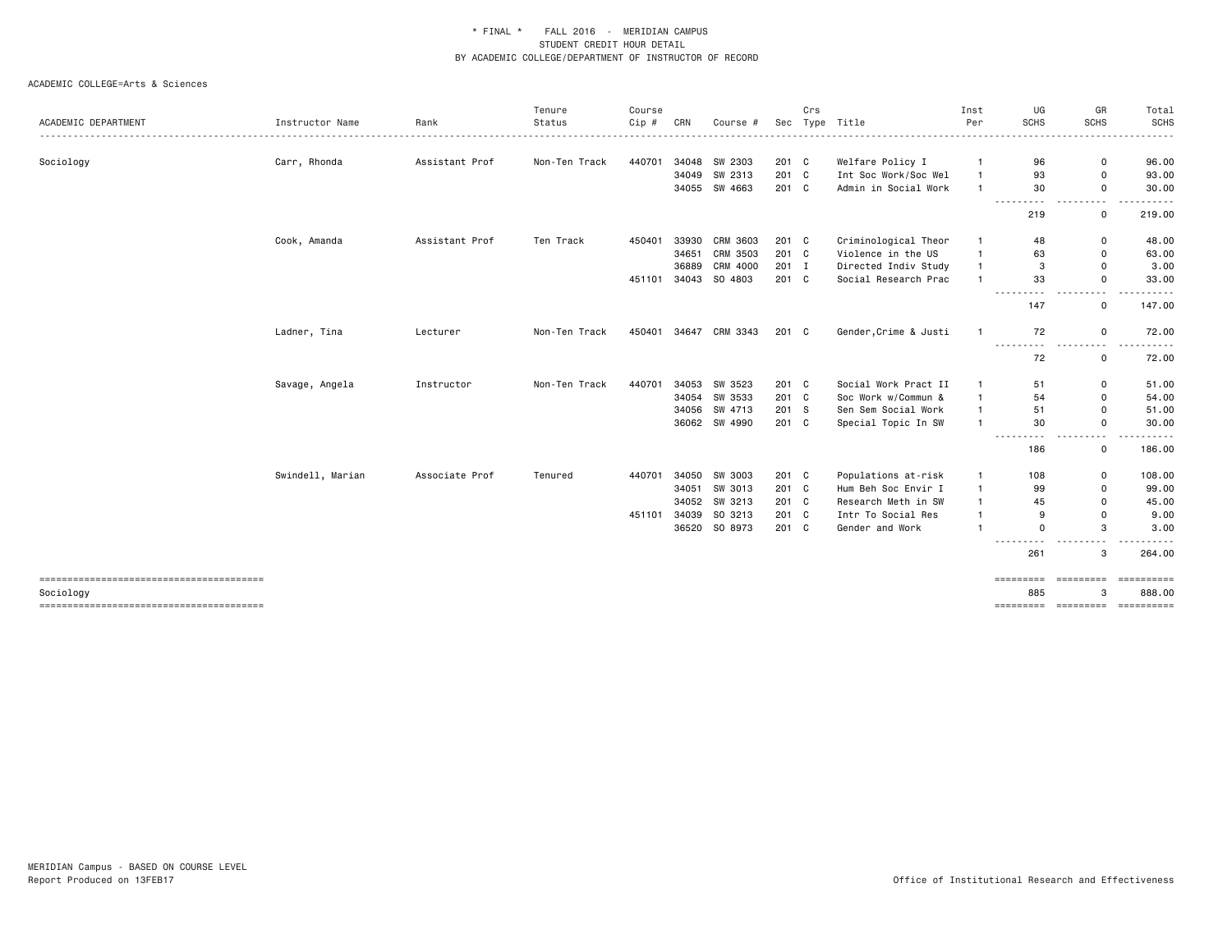|                     |                  |                | Tenure        | Course       |       |                |         | Crs |                       | Inst           | UG                  | GR                       | Total                          |
|---------------------|------------------|----------------|---------------|--------------|-------|----------------|---------|-----|-----------------------|----------------|---------------------|--------------------------|--------------------------------|
| ACADEMIC DEPARTMENT | Instructor Name  | Rank           | Status        | Cip #        | CRN   | Course #       |         |     | Sec Type Title        | Per            | <b>SCHS</b>         | SCHS                     | SCHS<br>$\cdots \cdots \cdots$ |
| Sociology           | Carr, Rhonda     | Assistant Prof | Non-Ten Track | 440701       | 34048 | SW 2303        | 201 C   |     | Welfare Policy I      | -1             | 96                  | 0                        | 96.00                          |
|                     |                  |                |               |              | 34049 | SW 2313        | $201$ C |     | Int Soc Work/Soc Wel  | $\mathbf{1}$   | 93                  | 0                        | 93.00                          |
|                     |                  |                |               |              |       | 34055 SW 4663  | 201 C   |     | Admin in Social Work  |                | 30                  | 0<br>------<br>$ -$      | 30.00<br>.                     |
|                     |                  |                |               |              |       |                |         |     |                       |                | 219                 | 0                        | 219.00                         |
|                     | Cook, Amanda     | Assistant Prof | Ten Track     | 450401       | 33930 | CRM 3603       | 201 C   |     | Criminological Theor  |                | 48                  | 0                        | 48.00                          |
|                     |                  |                |               |              | 34651 | CRM 3503       | 201 C   |     | Violence in the US    |                | 63                  | 0                        | 63.00                          |
|                     |                  |                |               |              | 36889 | CRM 4000       | $201$ I |     | Directed Indiv Study  |                | 3                   | 0                        | 3.00                           |
|                     |                  |                |               | 451101 34043 |       | SO 4803        | 201 C   |     | Social Research Prac  |                | 33<br>$- - -$       | $\Omega$                 | 33.00<br>$\frac{1}{2}$         |
|                     |                  |                |               |              |       |                |         |     |                       |                | 147                 | 0                        | 147.00                         |
|                     | Ladner, Tina     | Lecturer       | Non-Ten Track | 450401       |       | 34647 CRM 3343 | 201 C   |     | Gender, Crime & Justi |                | 72                  | 0                        | 72.00                          |
|                     |                  |                |               |              |       |                |         |     |                       |                | $\frac{1}{2}$<br>72 | $ -$<br>0                | 72.00                          |
|                     | Savage, Angela   | Instructor     | Non-Ten Track | 440701       | 34053 | SW 3523        | 201 C   |     | Social Work Pract II  |                | 51                  | 0                        | 51.00                          |
|                     |                  |                |               |              | 34054 | SW 3533        | 201 C   |     | Soc Work w/Commun &   |                | 54                  | 0                        | 54.00                          |
|                     |                  |                |               |              | 34056 | SW 4713        | 201 S   |     | Sen Sem Social Work   |                | 51                  | $\Omega$                 | 51.00                          |
|                     |                  |                |               |              |       | 36062 SW 4990  | 201 C   |     | Special Topic In SW   |                | 30<br>$- - -$       | $\Omega$                 | 30.00                          |
|                     |                  |                |               |              |       |                |         |     |                       |                | 186                 | 0                        | 186.00                         |
|                     | Swindell, Marian | Associate Prof | Tenured       | 440701       | 34050 | SW 3003        | 201 C   |     | Populations at-risk   |                | 108                 | 0                        | 108.00                         |
|                     |                  |                |               |              | 34051 | SW 3013        | 201 C   |     | Hum Beh Soc Envir I   | $\overline{1}$ | 99                  | 0                        | 99.00                          |
|                     |                  |                |               |              | 34052 | SW 3213        | 201 C   |     | Research Meth in SW   | -1             | 45                  | 0                        | 45.00                          |
|                     |                  |                |               | 451101       | 34039 | SO 3213        | 201 C   |     | Intr To Social Res    | -1             | 9                   | 0                        | 9.00                           |
|                     |                  |                |               |              | 36520 | SO 8973        | 201 C   |     | Gender and Work       |                | $\Omega$            | 3                        | 3.00                           |
|                     |                  |                |               |              |       |                |         |     |                       |                | 261                 | 3                        | 264.00                         |
|                     |                  |                |               |              |       |                |         |     |                       |                | =========           | ----------               | ==========                     |
| Sociology           |                  |                |               |              |       |                |         |     |                       |                | 885                 | 3<br>escesses: concesses | 888.00<br><b>CONSESSED</b>     |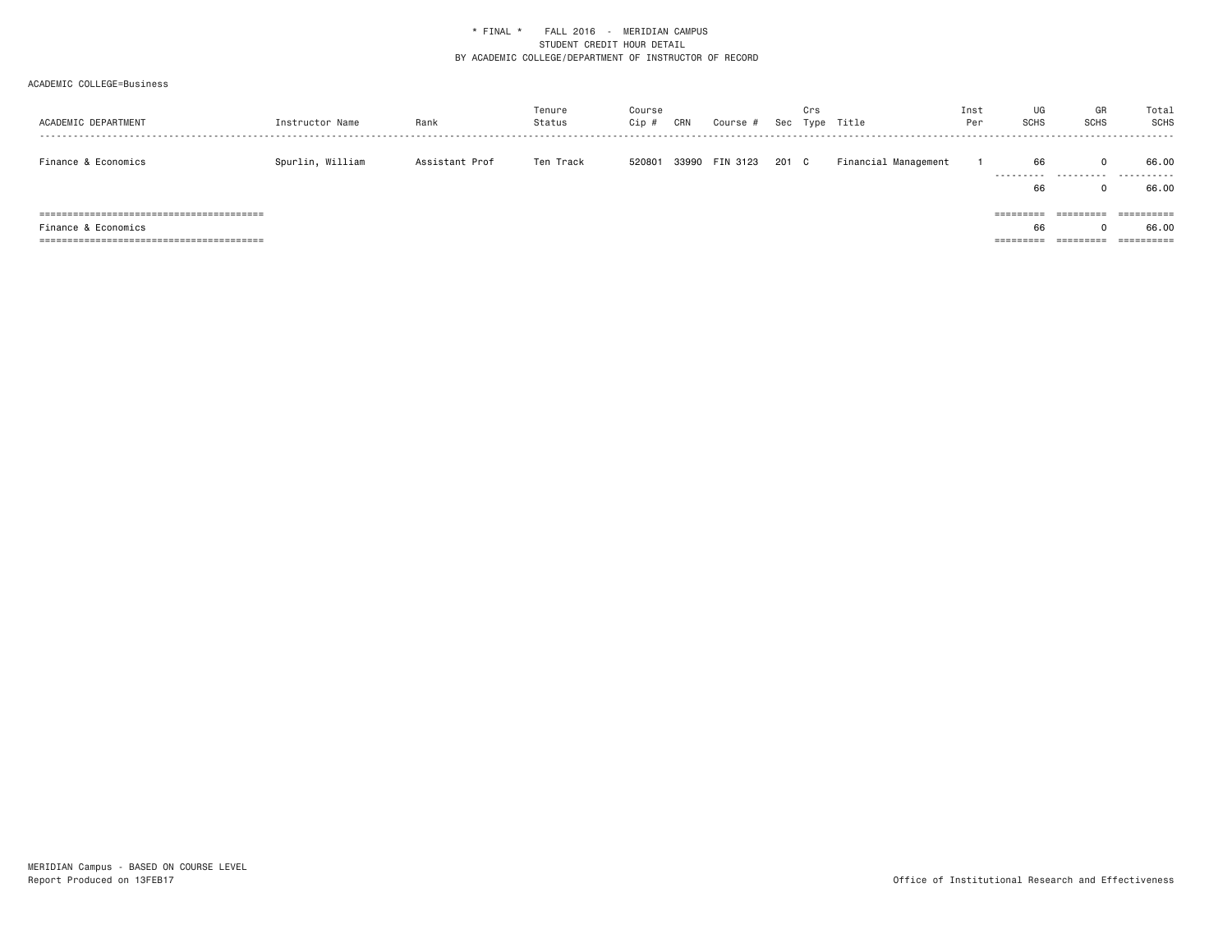| ACADEMIC DEPARTMENT                   | Instructor Name  | Rank           | Tenure<br>Status | Course<br>Cip # | CRN   | Course # |       | Crs | Sec Type Title       | Inst<br>Per | UG<br><b>SCHS</b>   | GR<br><b>SCHS</b> | Total<br><b>SCHS</b> |
|---------------------------------------|------------------|----------------|------------------|-----------------|-------|----------|-------|-----|----------------------|-------------|---------------------|-------------------|----------------------|
| Finance & Economics                   | Spurlin, William | Assistant Prof | Ten Track        | 520801          | 33990 | FIN 3123 | 201 C |     | Financial Management |             | 66<br>.             | 0                 | 66.00                |
|                                       |                  |                |                  |                 |       |          |       |     |                      |             | 66                  | 0                 | 66.00                |
| ------------------------------------- |                  |                |                  |                 |       |          |       |     |                      |             | $=$ = = = = = = = = | =========         | ==========           |
| Finance & Economics                   |                  |                |                  |                 |       |          |       |     |                      |             | 66                  | 0                 | 66.00                |
|                                       |                  |                |                  |                 |       |          |       |     |                      |             | =========           | =========         | ==========           |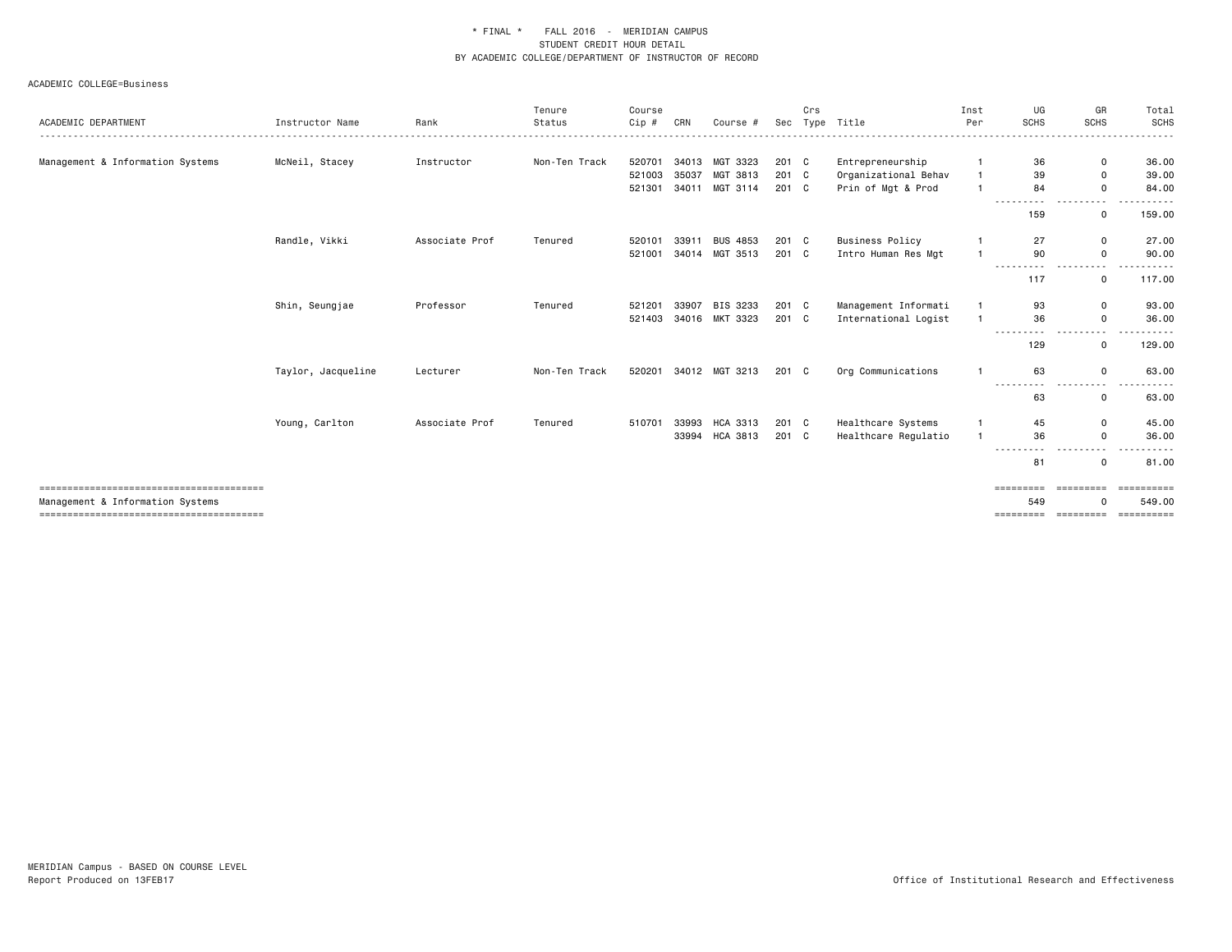|                                  |                    |                | Tenure        | Course  |       |                 |       | Crs  |                        | Inst | UG                                             | GR                          | Total                 |
|----------------------------------|--------------------|----------------|---------------|---------|-------|-----------------|-------|------|------------------------|------|------------------------------------------------|-----------------------------|-----------------------|
| ACADEMIC DEPARTMENT              | Instructor Name    | Rank           | Status        | $Cip$ # | CRN   | Course #        | Sec   | Type | Title                  | Per  | <b>SCHS</b><br>------------------------------- | <b>SCHS</b>                 | <b>SCHS</b><br>.      |
|                                  |                    |                |               |         |       |                 |       |      |                        |      |                                                |                             |                       |
| Management & Information Systems | McNeil, Stacey     | Instructor     | Non-Ten Track | 520701  | 34013 | MGT 3323        | 201 C |      | Entrepreneurship       |      | 36                                             | $\mathbf 0$                 | 36.00                 |
|                                  |                    |                |               | 521003  | 35037 | MGT 3813        | 201 C |      | Organizational Behav   |      | 39                                             | $\mathbf 0$                 | 39.00                 |
|                                  |                    |                |               | 521301  | 34011 | MGT 3114        | 201 C |      | Prin of Mgt & Prod     |      | 84                                             | $\Omega$                    | 84.00                 |
|                                  |                    |                |               |         |       |                 |       |      |                        |      | ---<br>.<br>159                                | $\Omega$                    | 159.00                |
|                                  | Randle, Vikki      | Associate Prof | Tenured       | 520101  | 33911 | <b>BUS 4853</b> | 201 C |      | <b>Business Policy</b> |      | 27                                             | 0                           | 27.00                 |
|                                  |                    |                |               | 521001  | 34014 | MGT 3513        | 201 C |      | Intro Human Res Mgt    |      | 90                                             | $\mathbf 0$                 | 90.00                 |
|                                  |                    |                |               |         |       |                 |       |      |                        |      | 117                                            | $\Omega$                    | 117,00                |
|                                  | Shin, Seungjae     | Professor      | Tenured       | 521201  | 33907 | BIS 3233        | 201 C |      | Management Informati   |      | 93                                             | $\mathbf 0$                 | 93.00                 |
|                                  |                    |                |               | 521403  |       | 34016 MKT 3323  | 201 C |      | International Logist   |      | 36                                             | $\mathbf 0$<br>. <i>.</i> . | 36.00<br>. <u>.</u> . |
|                                  |                    |                |               |         |       |                 |       |      |                        |      | 129                                            | $\Omega$                    | 129.00                |
|                                  | Taylor, Jacqueline | Lecturer       | Non-Ten Track | 520201  |       | 34012 MGT 3213  | 201 C |      | Org Communications     |      | 63                                             | $\mathbf 0$                 | 63.00                 |
|                                  |                    |                |               |         |       |                 |       |      |                        |      | ---------<br>63                                | <sup>0</sup>                | 63.00                 |
|                                  | Young, Carlton     | Associate Prof | Tenured       | 510701  | 33993 | <b>HCA 3313</b> | 201 C |      | Healthcare Systems     |      | 45                                             | $\mathbf 0$                 | 45.00                 |
|                                  |                    |                |               |         | 33994 | HCA 3813        | 201 C |      | Healthcare Regulatio   |      | 36<br>---------                                | $\Omega$                    | 36.00<br>.            |
|                                  |                    |                |               |         |       |                 |       |      |                        |      | 81                                             | $\Omega$                    | 81,00                 |
|                                  |                    |                |               |         |       |                 |       |      |                        |      | =========                                      | <b>ESSESSES</b>             | ==========            |
| Management & Information Systems |                    |                |               |         |       |                 |       |      |                        |      | 549                                            |                             | 549.00                |
|                                  |                    |                |               |         |       |                 |       |      |                        |      | =========                                      | ----------                  | ==========            |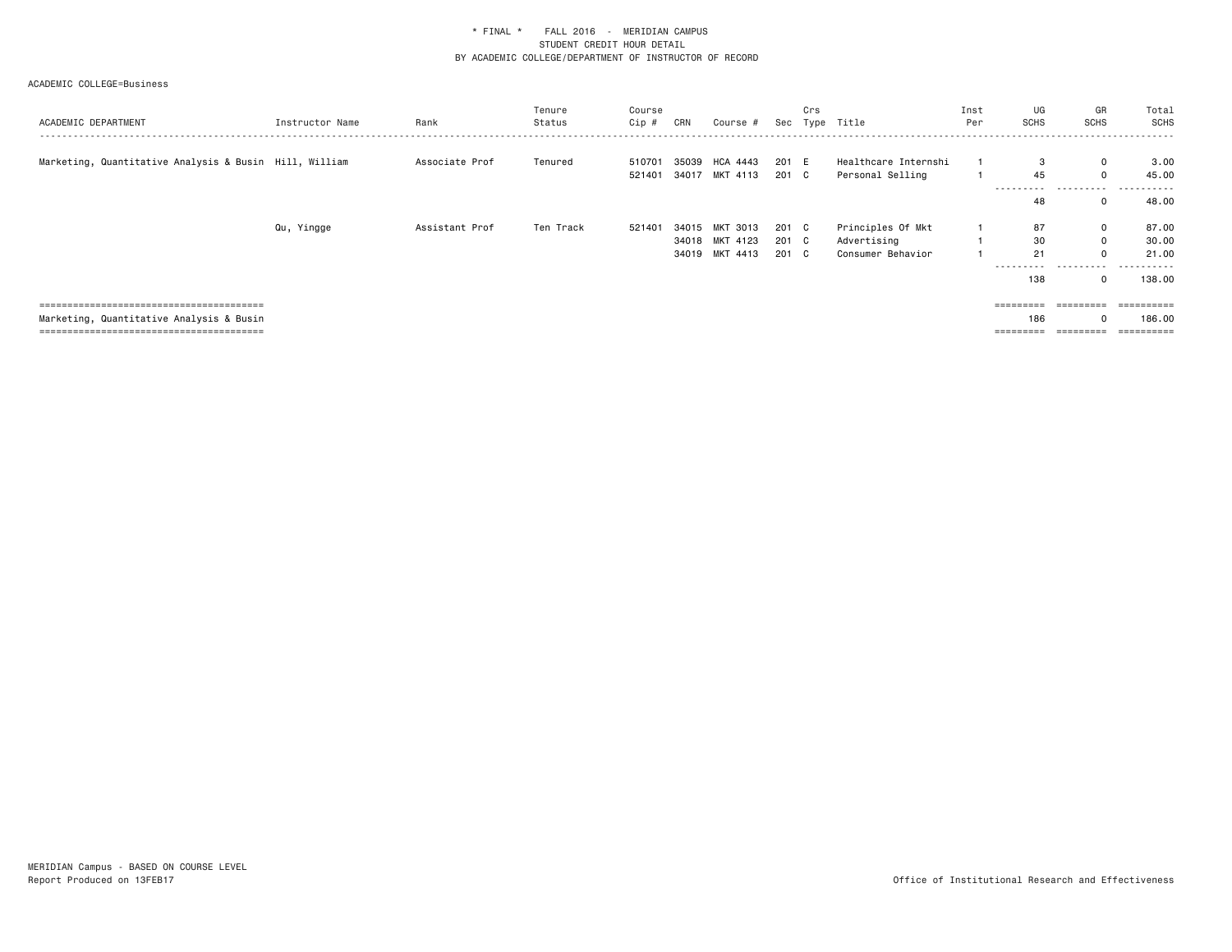| ACADEMIC DEPARTMENT                                    | Instructor Name | Rank           | Tenure<br>Status | Course<br>Cip #  | CRN   | Course #                   |                | Crs | Sec Type Title                           | Inst<br>Per | UG<br>SCHS       | GR<br>SCHS                      | Total<br><b>SCHS</b>     |
|--------------------------------------------------------|-----------------|----------------|------------------|------------------|-------|----------------------------|----------------|-----|------------------------------------------|-------------|------------------|---------------------------------|--------------------------|
| Marketing, Quantitative Analysis & Busin Hill, William |                 | Associate Prof | Tenured          | 510701<br>521401 | 35039 | HCA 4443<br>34017 MKT 4113 | 201 E<br>201 C |     | Healthcare Internshi<br>Personal Selling |             | 45<br>---------- | $^{\circ}$<br>$\mathbf{0}$<br>. | 3.00<br>45.00<br>------- |
|                                                        |                 |                |                  |                  |       |                            |                |     |                                          |             | 48               | $\Omega$                        | 48.00                    |
|                                                        | Qu, Yingge      | Assistant Prof | Ten Track        | 521401           | 34015 | MKT 3013<br>34018 MKT 4123 | 201 C<br>201 C |     | Principles Of Mkt<br>Advertising         |             | 87<br>30         | $\mathbf{0}$<br>$\mathbf{0}$    | 87.00<br>30.00           |
|                                                        |                 |                |                  |                  |       | 34019 MKT 4413             | 201 C          |     | Consumer Behavior                        |             | 21<br>---------- | $\mathbf{0}$<br>.               | 21.00<br>------          |
|                                                        |                 |                |                  |                  |       |                            |                |     |                                          |             | 138              | $\Omega$                        | 138.00                   |
|                                                        |                 |                |                  |                  |       |                            |                |     |                                          |             | =========        | =========                       | ==========               |
| Marketing, Quantitative Analysis & Busin               |                 |                |                  |                  |       |                            |                |     |                                          |             | 186<br>========= | $=$ = = = = = = = =             | 186,00<br>==========     |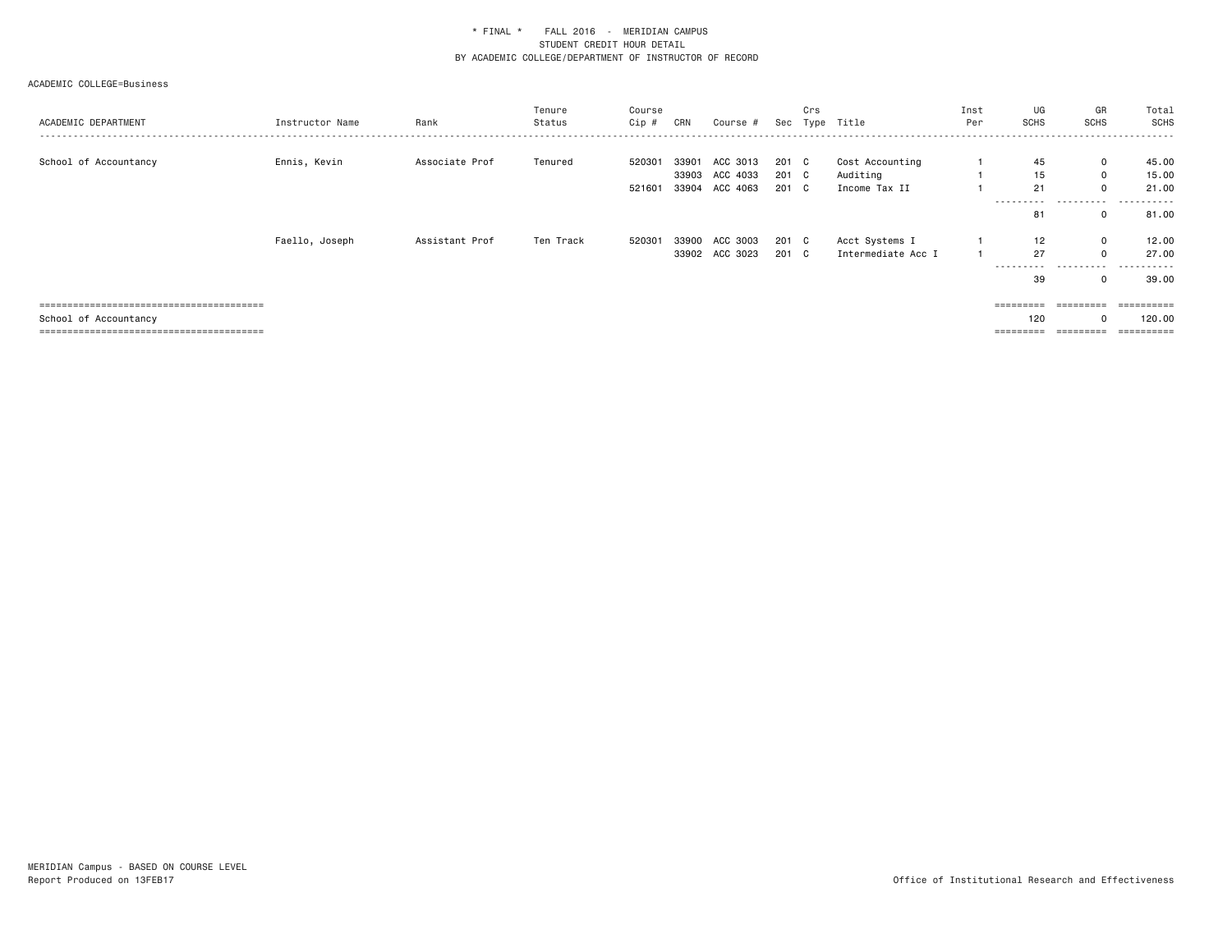| ACADEMIC DEPARTMENT   | Instructor Name | Rank           | Tenure<br>Status | Course<br>Cip #  | CRN   | Course #                                     |                         | Crs | Sec Type Title                               | Inst<br>Per | UG<br>SCHS                         | GR<br>SCHS                                   | Total<br><b>SCHS</b>                    |
|-----------------------|-----------------|----------------|------------------|------------------|-------|----------------------------------------------|-------------------------|-----|----------------------------------------------|-------------|------------------------------------|----------------------------------------------|-----------------------------------------|
| School of Accountancy | Ennis, Kevin    | Associate Prof | Tenured          | 520301<br>521601 | 33901 | ACC 3013<br>33903 ACC 4033<br>33904 ACC 4063 | 201 C<br>201 C<br>201 C |     | Cost Accounting<br>Auditing<br>Income Tax II |             | 45<br>15<br>21<br>.                | $\mathbf 0$<br>$\mathbf{0}$<br>$\Omega$<br>. | 45.00<br>15.00<br>21.00<br>. <u>.</u> . |
|                       | Faello, Joseph  | Assistant Prof | Ten Track        | 520301           | 33900 | ACC 3003<br>33902 ACC 3023                   | 201 C<br>201 C          |     | Acct Systems I<br>Intermediate Acc I         |             | 81<br>12<br>27<br>----------<br>39 | $\mathbf{0}$<br>$\Omega$<br>.                | 81.00<br>12.00<br>27.00<br>.<br>39.00   |
| School of Accountancy |                 |                |                  |                  |       |                                              |                         |     |                                              |             | =========<br>120<br>=========      | $=$ = = = = = = = =<br>=========             | 120.00<br>==========                    |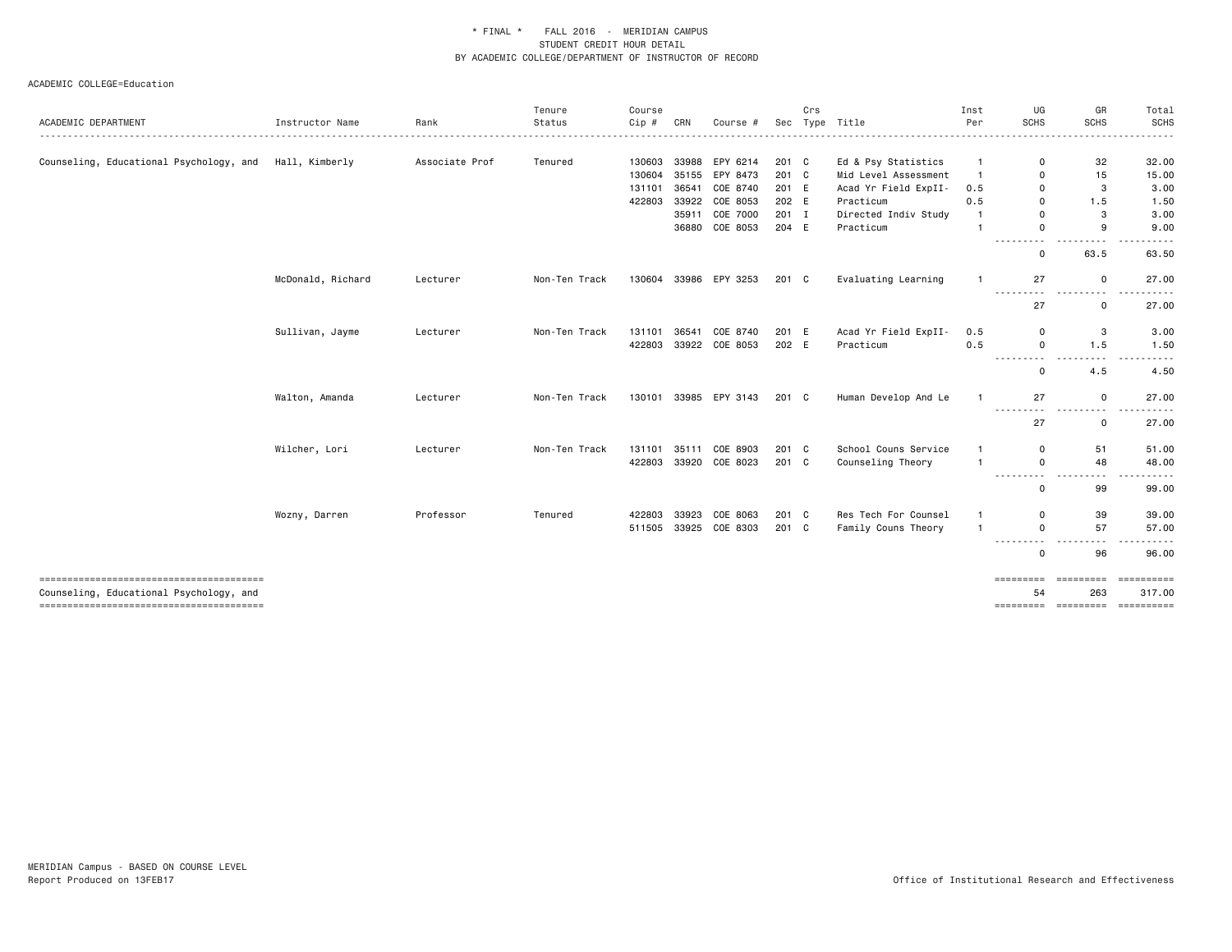|                                                                                   |                   |                | Tenure        | Course |              |                       |       | Crs |                      | Inst           | UG              | GR          | Total                                   |
|-----------------------------------------------------------------------------------|-------------------|----------------|---------------|--------|--------------|-----------------------|-------|-----|----------------------|----------------|-----------------|-------------|-----------------------------------------|
| ACADEMIC DEPARTMENT                                                               | Instructor Name   | Rank           | Status        | Cip #  | CRN          | Course #              |       |     | Sec Type Title       | Per            | <b>SCHS</b>     | <b>SCHS</b> | <b>SCHS</b><br>$- - - - -$              |
| Counseling, Educational Psychology, and                                           | Hall, Kimberly    | Associate Prof | Tenured       | 130603 | 33988        | EPY 6214              | 201 C |     | Ed & Psy Statistics  | -1             | 0               | 32          | 32.00                                   |
|                                                                                   |                   |                |               | 130604 | 35155        | EPY 8473              | 201 C |     | Mid Level Assessment | $\overline{1}$ | $\Omega$        | 15          | 15.00                                   |
|                                                                                   |                   |                |               | 131101 | 36541        | COE 8740              | 201 E |     | Acad Yr Field ExpII- | 0.5            | $\Omega$        | 3           | 3.00                                    |
|                                                                                   |                   |                |               | 422803 | 33922        | COE 8053              | 202 E |     | Practicum            | 0.5            | <sup>0</sup>    | 1.5         | 1.50                                    |
|                                                                                   |                   |                |               |        | 35911        | COE 7000              | 201 I |     | Directed Indiv Study |                | U               | 3           | 3.00                                    |
|                                                                                   |                   |                |               |        | 36880        | COE 8053              | 204 E |     | Practicum            |                | $\Omega$<br>.   | 9           | 9.00                                    |
|                                                                                   |                   |                |               |        |              |                       |       |     |                      |                | 0               | 63.5        | 63.50                                   |
|                                                                                   | McDonald, Richard | Lecturer       | Non-Ten Track |        |              | 130604 33986 EPY 3253 | 201 C |     | Evaluating Learning  |                | 27<br>--------- | 0<br>.      | 27.00                                   |
|                                                                                   |                   |                |               |        |              |                       |       |     |                      |                | 27              | 0           | 27.00                                   |
|                                                                                   | Sullivan, Jayme   | Lecturer       | Non-Ten Track | 131101 | 36541        | COE 8740              | 201 E |     | Acad Yr Field ExpII- | 0.5            | $\Omega$        | 3           | 3.00                                    |
|                                                                                   |                   |                |               | 422803 | 33922        | COE 8053              | 202 E |     | Practicum            | 0.5            | $\Omega$        | 1.5         | 1.50                                    |
|                                                                                   |                   |                |               |        |              |                       |       |     |                      |                | .<br>$\Omega$   | 4.5         | $\frac{1}{2}$<br>4.50                   |
|                                                                                   | Walton, Amanda    | Lecturer       | Non-Ten Track | 130101 | 33985        | EPY 3143              | 201 C |     | Human Develop And Le |                | 27              | 0           | 27.00                                   |
|                                                                                   |                   |                |               |        |              |                       |       |     |                      |                | ---------<br>27 | .<br>0      | -----<br>27.00                          |
|                                                                                   | Wilcher, Lori     | Lecturer       | Non-Ten Track | 131101 | 35111        | COE 8903              | 201 C |     | School Couns Service | 1              | $\Omega$        | 51          | 51.00                                   |
|                                                                                   |                   |                |               | 422803 | 33920        | COE 8023              | 201 C |     | Counseling Theory    | $\overline{1}$ | 0<br>---------  | 48<br>- - - | 48.00<br>$- - - - -$                    |
|                                                                                   |                   |                |               |        |              |                       |       |     |                      |                | $\Omega$        | 99          | 99.00                                   |
|                                                                                   | Wozny, Darren     | Professor      | Tenured       | 422803 | 33923        | COE 8063              | 201 C |     | Res Tech For Counsel |                | 0               | 39          | 39.00                                   |
|                                                                                   |                   |                |               |        | 511505 33925 | COE 8303              | 201 C |     | Family Couns Theory  | $\overline{1}$ | 0               | 57          | 57.00                                   |
|                                                                                   |                   |                |               |        |              |                       |       |     |                      |                | .<br>0          | 96          | $\cdots$<br>96.00                       |
|                                                                                   |                   |                |               |        |              |                       |       |     |                      |                | =========       | ----------  | EEEEEEEE                                |
| Counseling, Educational Psychology, and<br>-------------------------------------- |                   |                |               |        |              |                       |       |     |                      |                | 54              | 263         | 317.00<br>========= ========= ========= |
|                                                                                   |                   |                |               |        |              |                       |       |     |                      |                |                 |             |                                         |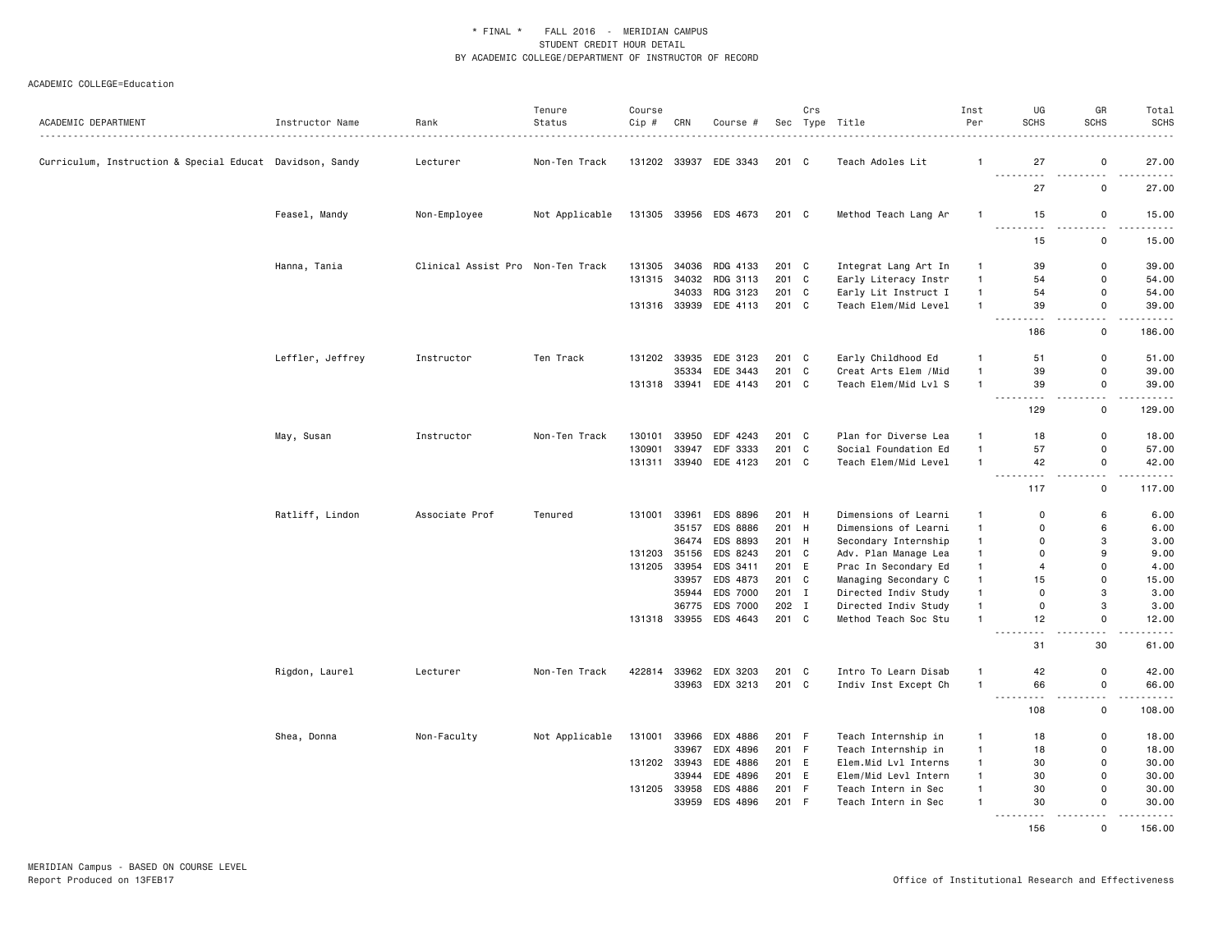| ACADEMIC DEPARTMENT                                      | Instructor Name  | Rank                | Tenure<br>Status | Course<br>Cip # | CRN            | Course #             |                | Crs          | Sec Type Title                               | Inst<br>Per                      | UG<br><b>SCHS</b>                     | GR<br><b>SCHS</b> | Total<br>SCHS      |
|----------------------------------------------------------|------------------|---------------------|------------------|-----------------|----------------|----------------------|----------------|--------------|----------------------------------------------|----------------------------------|---------------------------------------|-------------------|--------------------|
| Curriculum, Instruction & Special Educat Davidson, Sandy |                  | Lecturer            | Non-Ten Track    | 131202 33937    |                | EDE 3343             | 201 C          |              | Teach Adoles Lit                             | -1                               | 27                                    | 0                 | 27.00              |
|                                                          |                  |                     |                  |                 |                |                      |                |              |                                              |                                  | .<br>27                               | $\Omega$          | $- - - -$<br>27.00 |
|                                                          | Feasel, Mandy    | Non-Employee        | Not Applicable   | 131305 33956    |                | EDS 4673             | 201 C          |              | Method Teach Lang Ar                         | $\mathbf{1}$                     | 15                                    | $\Omega$          | 15.00              |
|                                                          |                  |                     |                  |                 |                |                      |                |              |                                              |                                  | .<br>- - -<br>15                      | 0                 | المستمد<br>15.00   |
|                                                          | Hanna, Tania     | Clinical Assist Pro | Non-Ten Track    | 131305          | 34036          | RDG 4133             | 201 C          |              | Integrat Lang Art In                         | -1                               | 39                                    | $\Omega$          | 39.00              |
|                                                          |                  |                     |                  | 131315          | 34032          | RDG 3113             | 201            | C            | Early Literacy Instr                         | $\overline{1}$                   | 54                                    | 0                 | 54.00              |
|                                                          |                  |                     |                  |                 | 34033          | RDG 3123             | 201            | $\mathbf{C}$ | Early Lit Instruct I                         | $\overline{1}$                   | 54                                    | $\Omega$          | 54.00              |
|                                                          |                  |                     |                  | 131316 33939    |                | EDE 4113             | 201 C          |              | Teach Elem/Mid Level                         | $\overline{1}$                   | 39                                    | 0                 | 39.00<br>د د د د د |
|                                                          |                  |                     |                  |                 |                |                      |                |              |                                              |                                  | 186                                   | 0                 | 186.00             |
|                                                          | Leffler, Jeffrey | Instructor          | Ten Track        | 131202          | 33935          | EDE 3123             | 201            | C            | Early Childhood Ed                           | $\mathbf{1}$                     | 51                                    | 0                 | 51.00              |
|                                                          |                  |                     |                  |                 | 35334          | EDE 3443             | 201            | C            | Creat Arts Elem /Mid                         | $\overline{1}$                   | 39                                    | $\Omega$          | 39.00              |
|                                                          |                  |                     |                  | 131318 33941    |                | EDE 4143             | 201 C          |              | Teach Elem/Mid Lvl S                         | $\overline{1}$                   | 39                                    | 0                 | 39.00              |
|                                                          |                  |                     |                  |                 |                |                      |                |              |                                              |                                  | 129                                   | 0                 | 129.00             |
|                                                          | May, Susan       | Instructor          | Non-Ten Track    | 130101          | 33950          | EDF 4243             | 201            | C            | Plan for Diverse Lea                         | $\mathbf{1}$                     | 18                                    | $\mathbf 0$       | 18.00              |
|                                                          |                  |                     |                  | 130901          | 33947          | EDF 3333             | 201            | $\mathbf{C}$ | Social Foundation Ed                         | $\overline{1}$                   | 57                                    | $\mathbf 0$       | 57.00              |
|                                                          |                  |                     |                  | 131311          | 33940          | EDE 4123             | 201 C          |              | Teach Elem/Mid Level                         | $\overline{1}$                   | 42                                    | 0                 | 42.00<br>د د د د د |
|                                                          |                  |                     |                  |                 |                |                      |                |              |                                              |                                  | 117                                   | 0                 | 117.00             |
|                                                          | Ratliff, Lindon  | Associate Prof      | Tenured          | 131001          | 33961          | EDS 8896             | 201 H          |              | Dimensions of Learni                         | $\overline{1}$                   | $\mathbf 0$                           | 6                 | 6.00               |
|                                                          |                  |                     |                  |                 | 35157          | EDS 8886             | 201            | H            | Dimensions of Learni                         | $\overline{1}$                   | $\mathbf 0$                           | 6                 | 6.00               |
|                                                          |                  |                     |                  |                 | 36474          | EDS 8893             | 201 H          |              | Secondary Internship                         | $\overline{1}$                   | $\mathbf 0$                           | 3                 | 3.00               |
|                                                          |                  |                     |                  | 131203          | 35156          | EDS 8243             | 201 C          |              | Adv. Plan Manage Lea                         | $\overline{1}$                   | $\mathbf 0$                           | 9                 | 9.00               |
|                                                          |                  |                     |                  | 131205          | 33954          | EDS 3411             | 201 E          |              | Prac In Secondary Ed                         | $\overline{1}$                   | $\overline{4}$                        | $\mathbf 0$       | 4.00               |
|                                                          |                  |                     |                  |                 | 33957          | EDS 4873             | 201 C          |              | Managing Secondary C                         | $\overline{1}$<br>$\overline{1}$ | 15                                    | 0<br>3            | 15.00              |
|                                                          |                  |                     |                  |                 | 35944<br>36775 | EDS 7000<br>EDS 7000 | 201 I<br>202 I |              | Directed Indiv Study<br>Directed Indiv Study | $\overline{1}$                   | 0<br>$\mathsf 0$                      | 3                 | 3.00<br>3.00       |
|                                                          |                  |                     |                  | 131318 33955    |                | EDS 4643             | 201 C          |              | Method Teach Soc Stu                         | $\mathbf{1}$                     | 12                                    | 0                 | 12.00              |
|                                                          |                  |                     |                  |                 |                |                      |                |              |                                              |                                  | .<br>- - -<br>31                      | 30                | $\sim$<br>61.00    |
|                                                          | Rigdon, Laurel   | Lecturer            | Non-Ten Track    | 422814          | 33962          | EDX 3203             | 201 C          |              | Intro To Learn Disab                         | $\mathbf{1}$                     | 42                                    | 0                 | 42.00              |
|                                                          |                  |                     |                  |                 | 33963          | EDX 3213             | 201            | $\mathbf{C}$ | Indiv Inst Except Ch                         | $\overline{1}$                   | 66<br>$  -$                           | 0                 | 66.00<br>.         |
|                                                          |                  |                     |                  |                 |                |                      |                |              |                                              |                                  | 108                                   | 0                 | 108.00             |
|                                                          | Shea, Donna      | Non-Faculty         | Not Applicable   | 131001          | 33966          | EDX 4886             | 201 F          |              | Teach Internship in                          | $\overline{1}$                   | 18                                    | 0                 | 18.00              |
|                                                          |                  |                     |                  |                 | 33967          | EDX 4896             | 201 F          |              | Teach Internship in                          | $\overline{1}$                   | 18                                    | 0                 | 18.00              |
|                                                          |                  |                     |                  | 131202          | 33943          | EDE 4886             | 201            | E            | Elem.Mid Lvl Interns                         | $\overline{1}$                   | 30                                    | 0                 | 30.00              |
|                                                          |                  |                     |                  |                 | 33944          | EDE 4896             | 201 E          |              | Elem/Mid Levl Intern                         | $\overline{1}$                   | 30                                    | 0                 | 30.00              |
|                                                          |                  |                     |                  | 131205 33958    |                | EDS 4886             | 201 F          |              | Teach Intern in Sec                          | $\overline{1}$                   | 30                                    | 0                 | 30.00              |
|                                                          |                  |                     |                  |                 | 33959          | EDS 4896             | 201 F          |              | Teach Intern in Sec                          | $\overline{1}$                   | 30<br>$\sim$ $\sim$ $\sim$<br>$- - -$ | 0                 | 30.00              |
|                                                          |                  |                     |                  |                 |                |                      |                |              |                                              |                                  | 156                                   | $\Omega$          | 156.00             |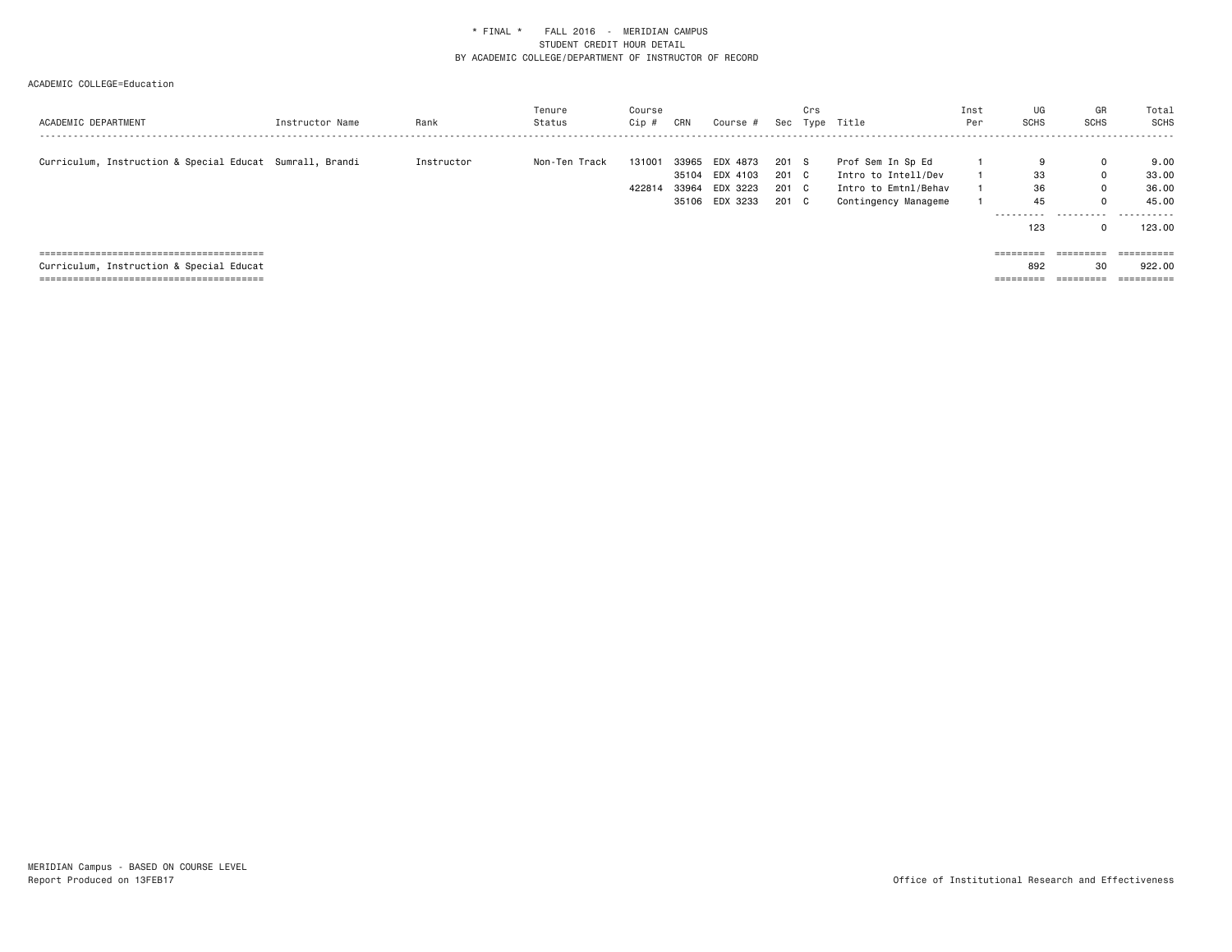| ACADEMIC DEPARTMENT                                      | Instructor Name | Rank       | Tenure<br>Status | Course<br>$Cip$ # | CRN   | Course # |       | Crs      | Sec Type Title       | Inst<br>Per | UG<br><b>SCHS</b> | GR<br><b>SCHS</b>      | Total<br>SCHS |
|----------------------------------------------------------|-----------------|------------|------------------|-------------------|-------|----------|-------|----------|----------------------|-------------|-------------------|------------------------|---------------|
|                                                          |                 |            |                  |                   |       |          |       |          |                      |             |                   |                        |               |
| Curriculum, Instruction & Special Educat Sumrall, Brandi |                 | Instructor | Non-Ten Track    | 131001            | 33965 | EDX 4873 | 201   | <b>S</b> | Prof Sem In Sp Ed    |             |                   |                        | 9.00          |
|                                                          |                 |            |                  |                   | 35104 | EDX 4103 | 201 C |          | Intro to Intell/Dev  |             | 33                | 0                      | 33.00         |
|                                                          |                 |            |                  | 422814            | 33964 | EDX 3223 | 201 C |          | Intro to Emtnl/Behav |             | 36                |                        | 36.00         |
|                                                          |                 |            |                  |                   | 35106 | EDX 3233 | 201 C |          | Contingency Manageme |             | 45                |                        | 45.00         |
|                                                          |                 |            |                  |                   |       |          |       |          |                      |             | ---------         | .                      | .             |
|                                                          |                 |            |                  |                   |       |          |       |          |                      |             | 123               |                        | 123.00        |
|                                                          |                 |            |                  |                   |       |          |       |          |                      |             |                   |                        |               |
|                                                          |                 |            |                  |                   |       |          |       |          |                      |             | =========         | $=$ = = = = = = = =    | ==========    |
| Curriculum, Instruction & Special Educat                 |                 |            |                  |                   |       |          |       |          |                      |             | 892               | 30                     | 922.00        |
|                                                          |                 |            |                  |                   |       |          |       |          |                      |             | ---------         | ---------<br>--------- | ==========    |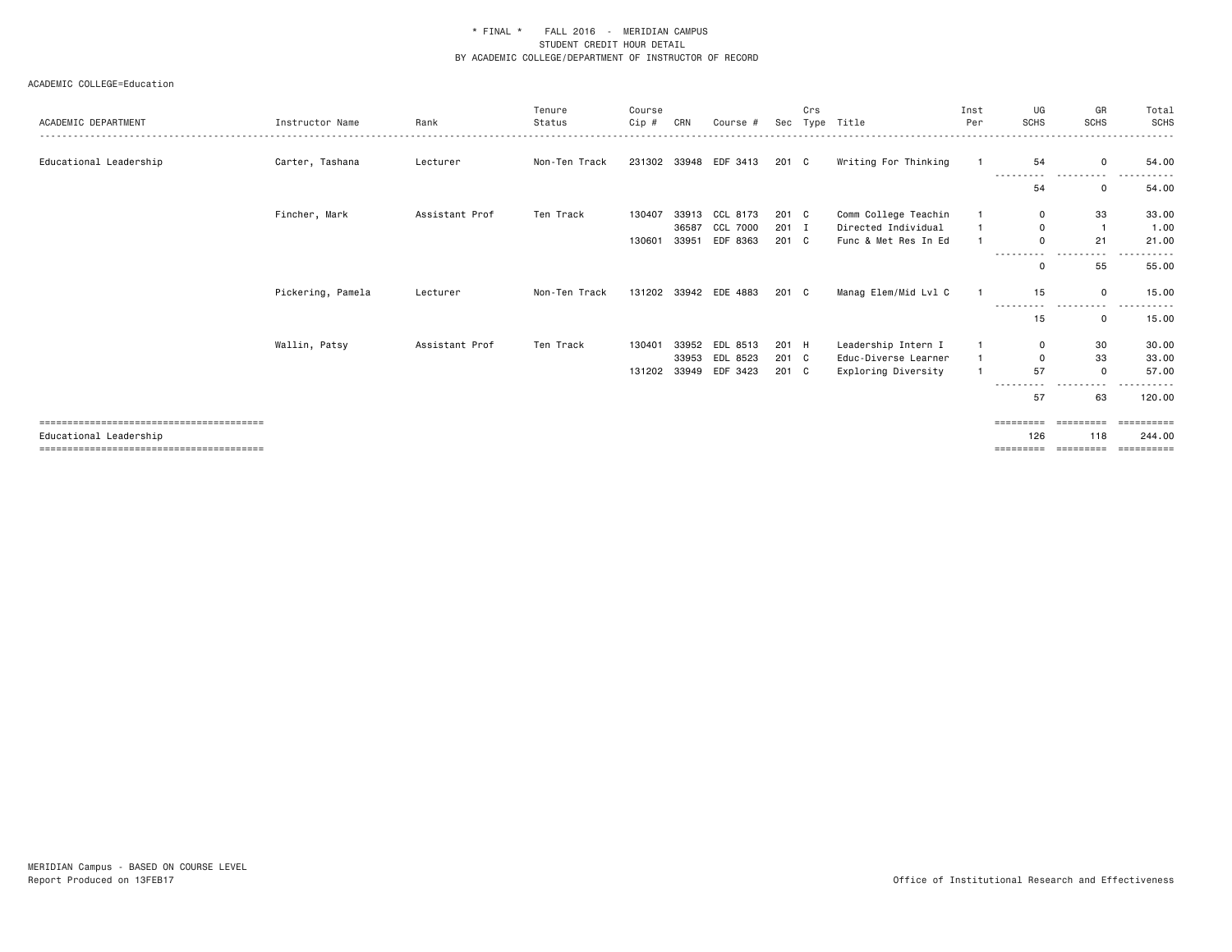|                        |                   |                | Tenure        | Course |       |                       |         | Crs |                      | Inst | UG                       | GR              | Total                 |
|------------------------|-------------------|----------------|---------------|--------|-------|-----------------------|---------|-----|----------------------|------|--------------------------|-----------------|-----------------------|
| ACADEMIC DEPARTMENT    | Instructor Name   | Rank           | Status        | Cip #  | CRN   | Course #              | Sec     |     | Type Title           | Per  | <b>SCHS</b>              | <b>SCHS</b>     | SCHS                  |
| Educational Leadership | Carter, Tashana   | Lecturer       | Non-Ten Track |        |       | 231302 33948 EDF 3413 | 201 C   |     | Writing For Thinking |      | 54                       | $\mathbf 0$     | 54.00                 |
|                        |                   |                |               |        |       |                       |         |     |                      |      | ----<br>54               | 0               | 54.00                 |
|                        | Fincher, Mark     | Assistant Prof | Ten Track     | 130407 | 33913 | CCL 8173              | 201 C   |     | Comm College Teachin |      | $\Omega$                 | 33              | 33.00                 |
|                        |                   |                |               |        | 36587 | CCL 7000              | $201$ I |     | Directed Individual  |      | $\Omega$                 |                 | 1.00                  |
|                        |                   |                |               | 130601 | 33951 | EDF 8363              | 201 C   |     | Func & Met Res In Ed |      | ---------                | 21              | 21.00<br>. <b>.</b> . |
|                        |                   |                |               |        |       |                       |         |     |                      |      | 0                        | 55              | 55.00                 |
|                        | Pickering, Pamela | Lecturer       | Non-Ten Track |        |       | 131202 33942 EDE 4883 | 201 C   |     | Manag Elem/Mid Lvl C |      | 15                       | 0               | 15.00                 |
|                        |                   |                |               |        |       |                       |         |     |                      |      | ---------<br>15          | ----------<br>0 | 15.00                 |
|                        | Wallin, Patsy     | Assistant Prof | Ten Track     | 130401 | 33952 | EDL 8513              | 201 H   |     | Leadership Intern I  |      | $\Omega$                 | 30              | 30.00                 |
|                        |                   |                |               |        | 33953 | EDL 8523              | 201 C   |     | Educ-Diverse Learner |      | $\Omega$                 | 33              | 33.00                 |
|                        |                   |                |               |        |       | 131202 33949 EDF 3423 | 201 C   |     | Exploring Diversity  |      | 57                       | $\Omega$        | 57.00                 |
|                        |                   |                |               |        |       |                       |         |     |                      |      | --------- <i>-</i><br>57 | 63              | .<br>120.00           |
|                        |                   |                |               |        |       |                       |         |     |                      |      |                          | =========       | ==========            |
| Educational Leadership |                   |                |               |        |       |                       |         |     |                      |      | 126                      | 118             | 244.00                |
|                        |                   |                |               |        |       |                       |         |     |                      |      | =========                | ----------      | ==========            |